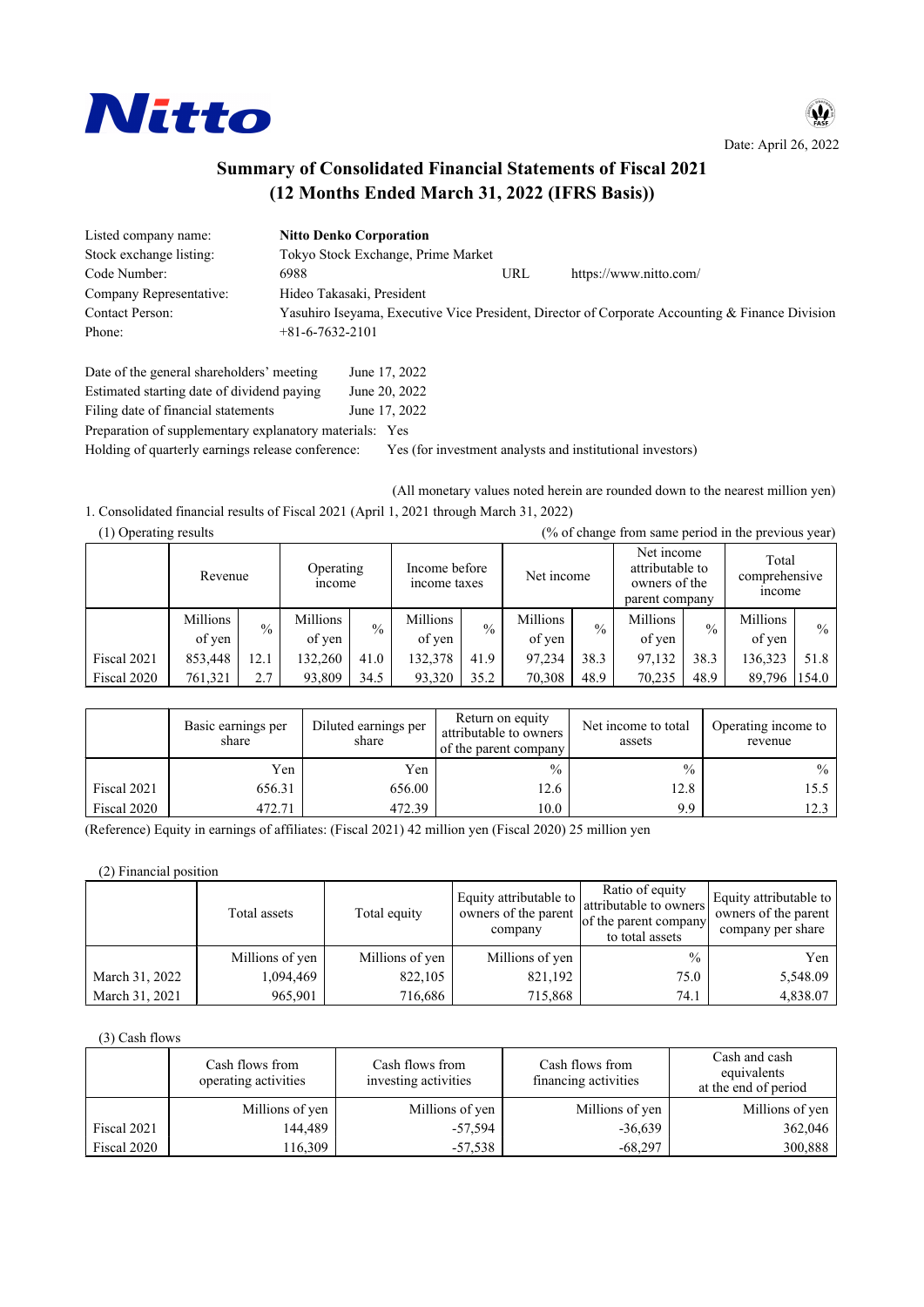

Date: April 26, 2022

W

# **Summary of Consolidated Financial Statements of Fiscal 2021** (12 Months Ended March 31, 2022 (IFRS Basis))

| Listed company name:    | <b>Nitto Denko Corporation</b>     |     |                                                                                                 |
|-------------------------|------------------------------------|-----|-------------------------------------------------------------------------------------------------|
| Stock exchange listing: | Tokyo Stock Exchange, Prime Market |     |                                                                                                 |
| Code Number:            | 6988                               | URL | https://www.nitto.com/                                                                          |
| Company Representative: | Hideo Takasaki, President          |     |                                                                                                 |
| <b>Contact Person:</b>  |                                    |     | Yasuhiro Iseyama, Executive Vice President, Director of Corporate Accounting & Finance Division |
| Phone:                  | $+81-6-7632-2101$                  |     |                                                                                                 |
|                         |                                    |     |                                                                                                 |

| Date of the general shareholders' meeting               | June 17, 2022 |
|---------------------------------------------------------|---------------|
| Estimated starting date of dividend paying              | June 20, 2022 |
| Filing date of financial statements                     | June 17, 2022 |
| Preparation of supplementary explanatory materials: Yes |               |

Holding of quarterly earnings release conference: Yes (for investment analysts and institutional investors)

(All monetary values noted herein are rounded down to the nearest million yen) 1. Consolidated financial results of Fiscal 2021 (April 1, 2021 through March 31, 2022)

| (% of change from same period in the previous year)<br>(1) Operating results |                                      |               |          |                                             |          |               |                                                                  |               |                                         |               |          |               |
|------------------------------------------------------------------------------|--------------------------------------|---------------|----------|---------------------------------------------|----------|---------------|------------------------------------------------------------------|---------------|-----------------------------------------|---------------|----------|---------------|
|                                                                              | Operating<br>Revenue<br><i>ncome</i> |               |          | Income before<br>Net income<br>income taxes |          |               | Net income<br>attributable to<br>owners of the<br>parent company |               | Total<br>comprehensive<br><i>n</i> come |               |          |               |
|                                                                              | Millions                             | $\frac{0}{0}$ | Millions | $\frac{0}{0}$                               | Millions | $\frac{0}{0}$ | Millions                                                         | $\frac{0}{0}$ | Millions                                | $\frac{0}{0}$ | Millions | $\frac{0}{0}$ |
|                                                                              | of yen                               |               | of yen   |                                             | of yen   |               | of yen                                                           |               | of yen                                  |               | of yen   |               |
| Fiscal 2021                                                                  | 853,448                              | 12.1          | 132,260  | 41.0                                        | 132,378  | 41.9          | 97,234                                                           | 38.3          | 97,132                                  | 38.3          | 136,323  | 51.8          |
| Fiscal 2020                                                                  | 761,321                              | 2.7           | 93,809   | 34.5                                        | 93,320   | 35.2          | 70,308                                                           | 48.9          | 70,235                                  | 48.9          | 89,796   | 154.0         |

|             | Basic earnings per<br>share | Diluted earnings per<br>share | Return on equity<br>attributable to owners<br>of the parent company | Net income to total<br>assets | Operating income to<br>revenue |
|-------------|-----------------------------|-------------------------------|---------------------------------------------------------------------|-------------------------------|--------------------------------|
|             | Yen                         | Yen                           | $\frac{0}{0}$                                                       | $\frac{0}{0}$                 | $\frac{0}{0}$                  |
| Fiscal 2021 | 656.31                      | 656.00                        | 12.6                                                                | 12.8                          | 15.5                           |
| Fiscal 2020 | 472.71                      | 472.39                        | 10.0                                                                | 9.9                           | 12.3                           |

(Reference) Equity in earnings of affiliates: (Fiscal 2021) 42 million yen (Fiscal 2020) 25 million yen

(2) Financial position

|                | Total assets    | Total equity    | Equity attributable to<br>owners of the parent<br>company | Ratio of equity<br>attributable to owners<br>of the parent company<br>to total assets | Equity attributable to<br>owners of the parent<br>company per share |
|----------------|-----------------|-----------------|-----------------------------------------------------------|---------------------------------------------------------------------------------------|---------------------------------------------------------------------|
|                | Millions of yen | Millions of yen | Millions of yen                                           | $\frac{0}{0}$                                                                         | Yen                                                                 |
| March 31, 2022 | 1,094,469       | 822,105         | 821,192                                                   | 75.0                                                                                  | 5,548.09                                                            |
| March 31, 2021 | 965.901         | 716,686         | 715,868                                                   | 74.1                                                                                  | 4,838.07                                                            |

(3) Cash flows

|             | Cash flows from<br>operating activities | Cash flows from<br>investing activities | Cash flows from<br>financing activities | Cash and cash<br>equivalents<br>at the end of period |
|-------------|-----------------------------------------|-----------------------------------------|-----------------------------------------|------------------------------------------------------|
|             | Millions of yen                         | Millions of yen                         | Millions of yen                         | Millions of yen                                      |
| Fiscal 2021 | 144,489                                 | $-57,594$                               | $-36,639$                               | 362,046                                              |
| Fiscal 2020 | 116,309                                 | $-57,538$                               | $-68.297$                               | 300,888                                              |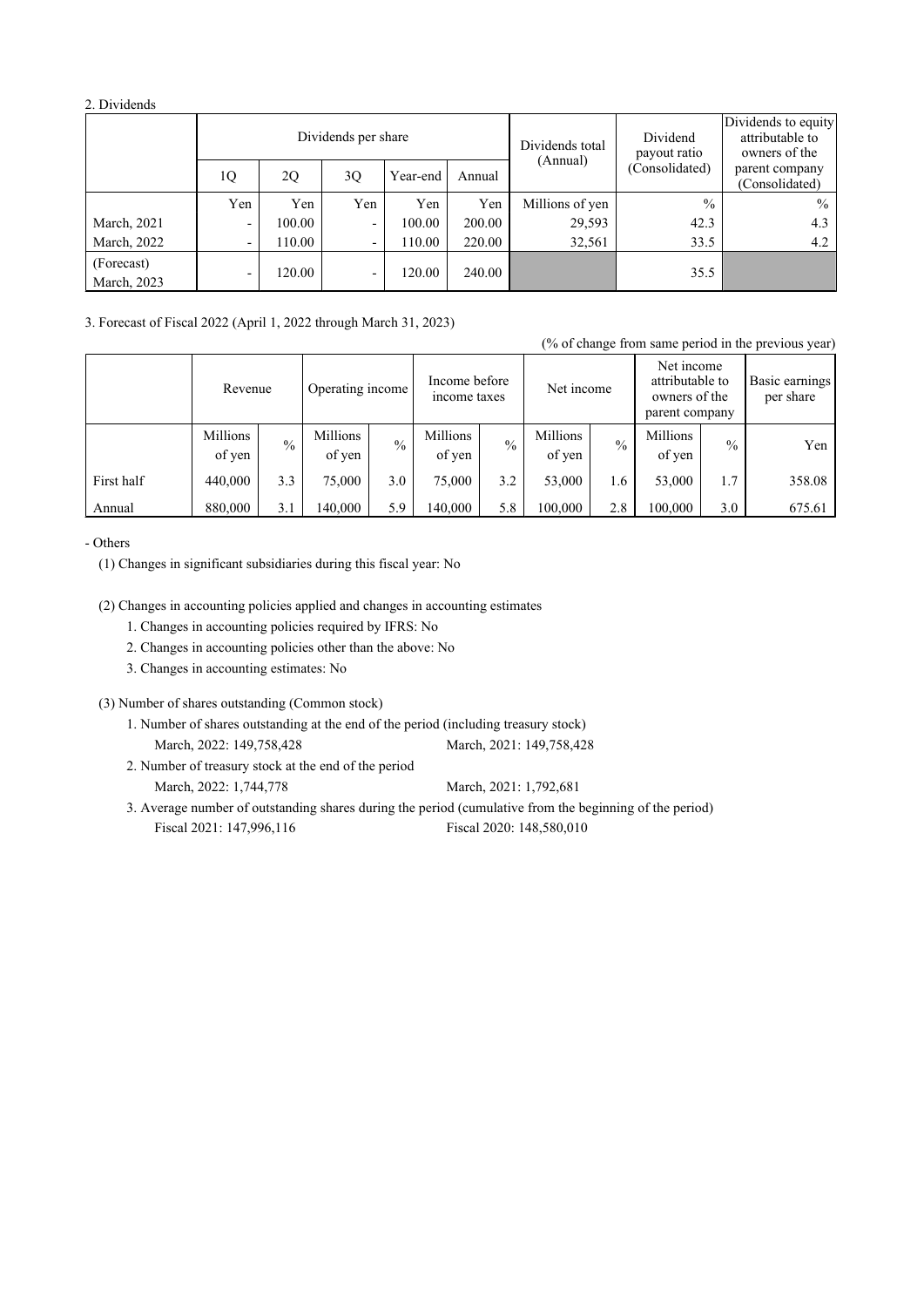#### 2. Dividends

|                           |                          |        | Dividends per share      |          |        | Dividends total | Dividend<br>payout ratio | Dividends to equity<br>attributable to<br>owners of the |
|---------------------------|--------------------------|--------|--------------------------|----------|--------|-----------------|--------------------------|---------------------------------------------------------|
|                           | 1Q                       | 2Q     | 3Q                       | Year-end | Annual | (Annual)        | (Consolidated)           | parent company<br>(Consolidated)                        |
|                           | Yen                      | Yen    | Yen                      | Yen      | Yen    | Millions of yen | $\frac{0}{0}$            | $\frac{0}{0}$                                           |
| March, 2021               | -                        | 100.00 |                          | 100.00   | 200.00 | 29,593          | 42.3                     | 4.3                                                     |
| March, 2022               | -                        | 110.00 | -                        | 110.00   | 220.00 | 32,561          | 33.5                     | 4.2                                                     |
| (Forecast)<br>March, 2023 | $\overline{\phantom{a}}$ | 120.00 | $\overline{\phantom{0}}$ | 120.00   | 240.00 |                 | 35.5                     |                                                         |

3. Forecast of Fiscal 2022 (April 1, 2022 through March 31, 2023)

|            |                             |               |                               |               |                    |               |                                                                  |               |                             |               | (% of change from same period in the previous year) |
|------------|-----------------------------|---------------|-------------------------------|---------------|--------------------|---------------|------------------------------------------------------------------|---------------|-----------------------------|---------------|-----------------------------------------------------|
|            | Operating income<br>Revenue |               | Income before<br>income taxes |               | Net income         |               | Net income<br>attributable to<br>owners of the<br>parent company |               | Basic earnings<br>per share |               |                                                     |
|            | Millions<br>of yen          | $\frac{0}{0}$ | Millions<br>of yen            | $\frac{0}{0}$ | Millions<br>of yen | $\frac{0}{0}$ | Millions<br>of yen                                               | $\frac{0}{0}$ | Millions<br>of yen          | $\frac{0}{0}$ | Yen                                                 |
| First half | 440,000                     | 3.3           | 75,000                        | 3.0           | 75,000             | 3.2           | 53,000                                                           | 1.6           | 53,000                      | 1.7           | 358.08                                              |
| Annual     | 880,000                     | 3.1           | 140,000                       | 5.9           | 140,000            | 5.8           | 100,000                                                          | 2.8           | 100,000                     | 3.0           | 675.61                                              |

#### - Others

(1) Changes in significant subsidiaries during this fiscal year: No

(2) Changes in accounting policies applied and changes in accounting estimates

1. Changes in accounting policies required by IFRS: No

2. Changes in accounting policies other than the above: No

3. Changes in accounting estimates: No

(3) Number of shares outstanding (Common stock)

1. Number of shares outstanding at the end of the period (including treasury stock) March, 2022: 149,758,428 March, 2021: 149,758,428

2. Number of treasury stock at the end of the period March, 2022: 1,744,778

March, 2021: 1,792,681

3. Average number of outstanding shares during the period (cumulative from the beginning of the period) Fiscal 2021: 147,996,116 Fiscal 2020: 148,580,010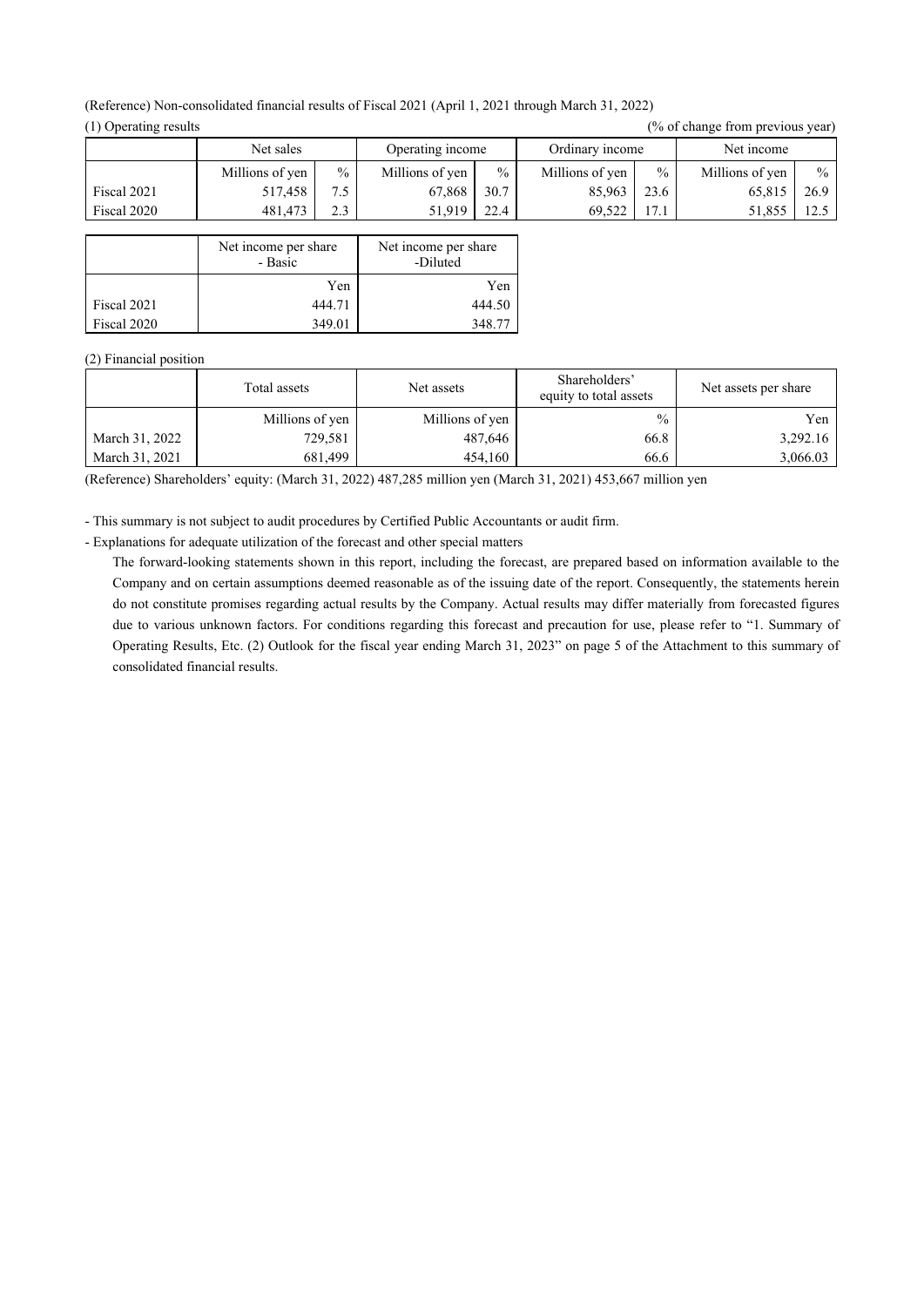| (1) Operating results |                 |               |                  |               |                 |               | (70 OI change from previous year) |               |
|-----------------------|-----------------|---------------|------------------|---------------|-----------------|---------------|-----------------------------------|---------------|
|                       | Net sales       |               | Operating income |               | Ordinary income |               | Net income                        |               |
|                       | Millions of yen | $\frac{0}{0}$ | Millions of yen  | $\frac{0}{0}$ | Millions of yen | $\frac{0}{0}$ | Millions of yen                   | $\frac{0}{0}$ |
| Fiscal 2021           | 517,458         | 7.5           | 67.868           | 30.7          | 85,963          | 23.6          | 65,815                            | 26.9          |
| Fiscal 2020           | 481,473         | 2.3           | 51,919           | 22.4          | 69.522          | 17.1          | 51.855                            | 12.5          |
|                       |                 |               |                  |               |                 |               |                                   |               |

#### (Reference) Non-consolidated financial results of Fiscal 2021 (April 1, 2021 through March 31, 2022)  $(1)$  Operating results  $(0/2)$  of abong from provious your

| - Fiscal 2020 | 401,47                          | $\mathcal{L}$ . $\mathcal{L}$ | 21,919                           | 22.4   |
|---------------|---------------------------------|-------------------------------|----------------------------------|--------|
|               |                                 |                               |                                  |        |
|               | Net income per share<br>- Basic |                               | Net income per share<br>-Diluted |        |
|               |                                 | Yen                           |                                  | Yen    |
| Fiscal 2021   |                                 | 444.71                        |                                  | 444.50 |
| Fiscal 2020   |                                 | 349.01                        |                                  | 348.77 |

#### (2) Financial position

|                | Total assets    | Net assets      | Shareholders'<br>equity to total assets | Net assets per share |
|----------------|-----------------|-----------------|-----------------------------------------|----------------------|
|                | Millions of yen | Millions of yen | $\frac{0}{0}$                           | Yen                  |
| March 31, 2022 | 729,581         | 487,646         | 66.8                                    | 3,292.16             |
| March 31, 2021 | 681.499         | 454,160         | 66.6                                    | 3,066.03             |

(Reference) Shareholders' equity: (March 31, 2022) 487,285 million yen (March 31, 2021) 453,667 million yen

- This summary is not subject to audit procedures by Certified Public Accountants or audit firm.

- Explanations for adequate utilization of the forecast and other special matters

The forward-looking statements shown in this report, including the forecast, are prepared based on information available to the Company and on certain assumptions deemed reasonable as of the issuing date of the report. Consequently, the statements herein do not constitute promises regarding actual results by the Company. Actual results may differ materially from forecasted figures due to various unknown factors. For conditions regarding this forecast and precaution for use, please refer to "1. Summary of Operating Results, Etc. (2) Outlook for the fiscal year ending March 31, 2023" on page 5 of the Attachment to this summary of consolidated financial results.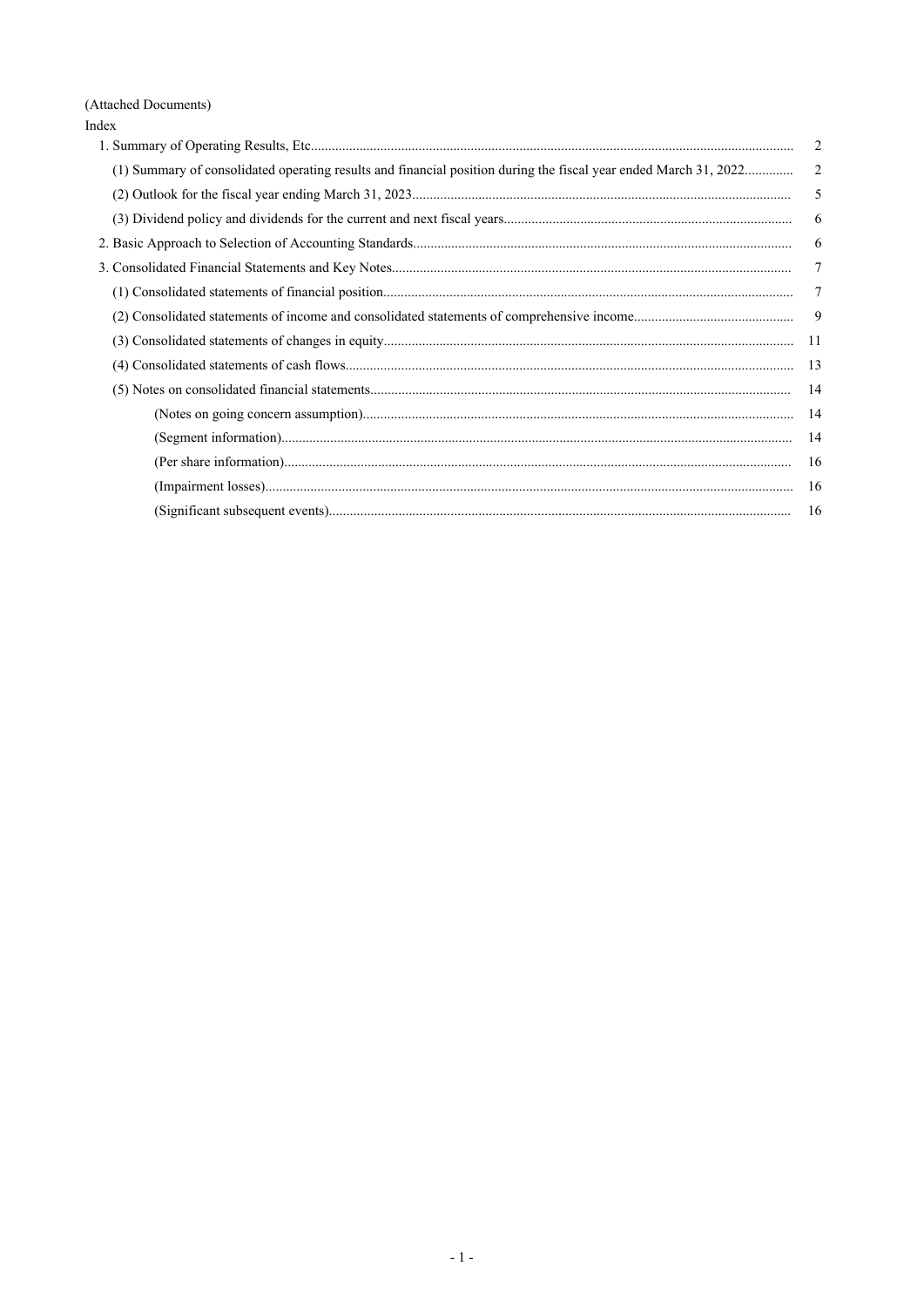(Attached Documents)

| Index                                                                                                            |        |
|------------------------------------------------------------------------------------------------------------------|--------|
|                                                                                                                  | 2      |
| (1) Summary of consolidated operating results and financial position during the fiscal year ended March 31, 2022 | 2      |
|                                                                                                                  | 5      |
|                                                                                                                  | 6      |
|                                                                                                                  | 6      |
|                                                                                                                  | $\tau$ |
|                                                                                                                  | 7      |
|                                                                                                                  | 9      |
|                                                                                                                  | -11    |
|                                                                                                                  | 13     |
|                                                                                                                  | -14    |
|                                                                                                                  | -14    |
|                                                                                                                  | 14     |
|                                                                                                                  | 16     |
|                                                                                                                  | 16     |
|                                                                                                                  | 16     |
|                                                                                                                  |        |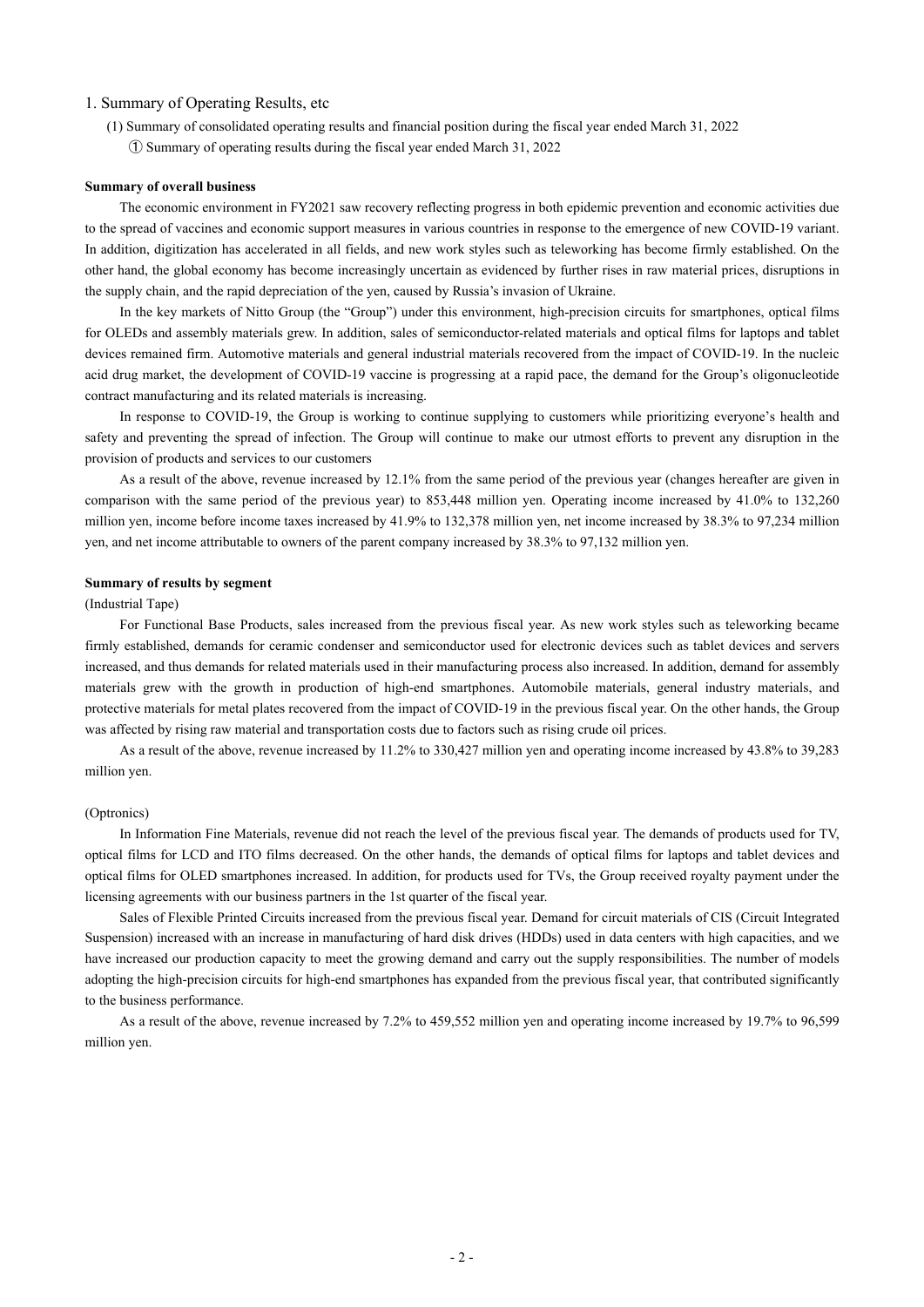#### 1. Summary of Operating Results, etc

(1) Summary of consolidated operating results and financial position during the fiscal year ended March 31, 2022 ① Summary of operating results during the fiscal year ended March 31, 2022

#### **Summary of overall business**

The economic environment in FY2021 saw recovery reflecting progress in both epidemic prevention and economic activities due to the spread of vaccines and economic support measures in various countries in response to the emergence of new COVID-19 variant. In addition, digitization has accelerated in all fields, and new work styles such as teleworking has become firmly established. On the other hand, the global economy has become increasingly uncertain as evidenced by further rises in raw material prices, disruptions in the supply chain, and the rapid depreciation of the yen, caused by Russia's invasion of Ukraine.

In the key markets of Nitto Group (the "Group") under this environment, high-precision circuits for smartphones, optical films for OLEDs and assembly materials grew. In addition, sales of semiconductor-related materials and optical films for laptops and tablet devices remained firm. Automotive materials and general industrial materials recovered from the impact of COVID-19. In the nucleic acid drug market, the development of COVID-19 vaccine is progressing at a rapid pace, the demand for the Group's oligonucleotide contract manufacturing and its related materials is increasing.

In response to COVID-19, the Group is working to continue supplying to customers while prioritizing everyone's health and safety and preventing the spread of infection. The Group will continue to make our utmost efforts to prevent any disruption in the provision of products and services to our customers

As a result of the above, revenue increased by 12.1% from the same period of the previous year (changes hereafter are given in comparison with the same period of the previous year) to 853,448 million yen. Operating income increased by 41.0% to 132,260 million yen, income before income taxes increased by 41.9% to 132,378 million yen, net income increased by 38.3% to 97,234 million yen, and net income attributable to owners of the parent company increased by 38.3% to 97,132 million yen.

#### **Summary of results by segment**

#### (Industrial Tape)

For Functional Base Products, sales increased from the previous fiscal year. As new work styles such as teleworking became firmly established, demands for ceramic condenser and semiconductor used for electronic devices such as tablet devices and servers increased, and thus demands for related materials used in their manufacturing process also increased. In addition, demand for assembly materials grew with the growth in production of high-end smartphones. Automobile materials, general industry materials, and protective materials for metal plates recovered from the impact of COVID-19 in the previous fiscal year. On the other hands, the Group was affected by rising raw material and transportation costs due to factors such as rising crude oil prices.

As a result of the above, revenue increased by 11.2% to 330,427 million yen and operating income increased by 43.8% to 39,283 million yen.

#### (Optronics)

In Information Fine Materials, revenue did not reach the level of the previous fiscal year. The demands of products used for TV, optical films for LCD and ITO films decreased. On the other hands, the demands of optical films for laptops and tablet devices and optical films for OLED smartphones increased. In addition, for products used for TVs, the Group received royalty payment under the licensing agreements with our business partners in the 1st quarter of the fiscal year.

Sales of Flexible Printed Circuits increased from the previous fiscal year. Demand for circuit materials of CIS (Circuit Integrated Suspension) increased with an increase in manufacturing of hard disk drives (HDDs) used in data centers with high capacities, and we have increased our production capacity to meet the growing demand and carry out the supply responsibilities. The number of models adopting the high-precision circuits for high-end smartphones has expanded from the previous fiscal year, that contributed significantly to the business performance.

As a result of the above, revenue increased by 7.2% to 459,552 million yen and operating income increased by 19.7% to 96,599 million yen.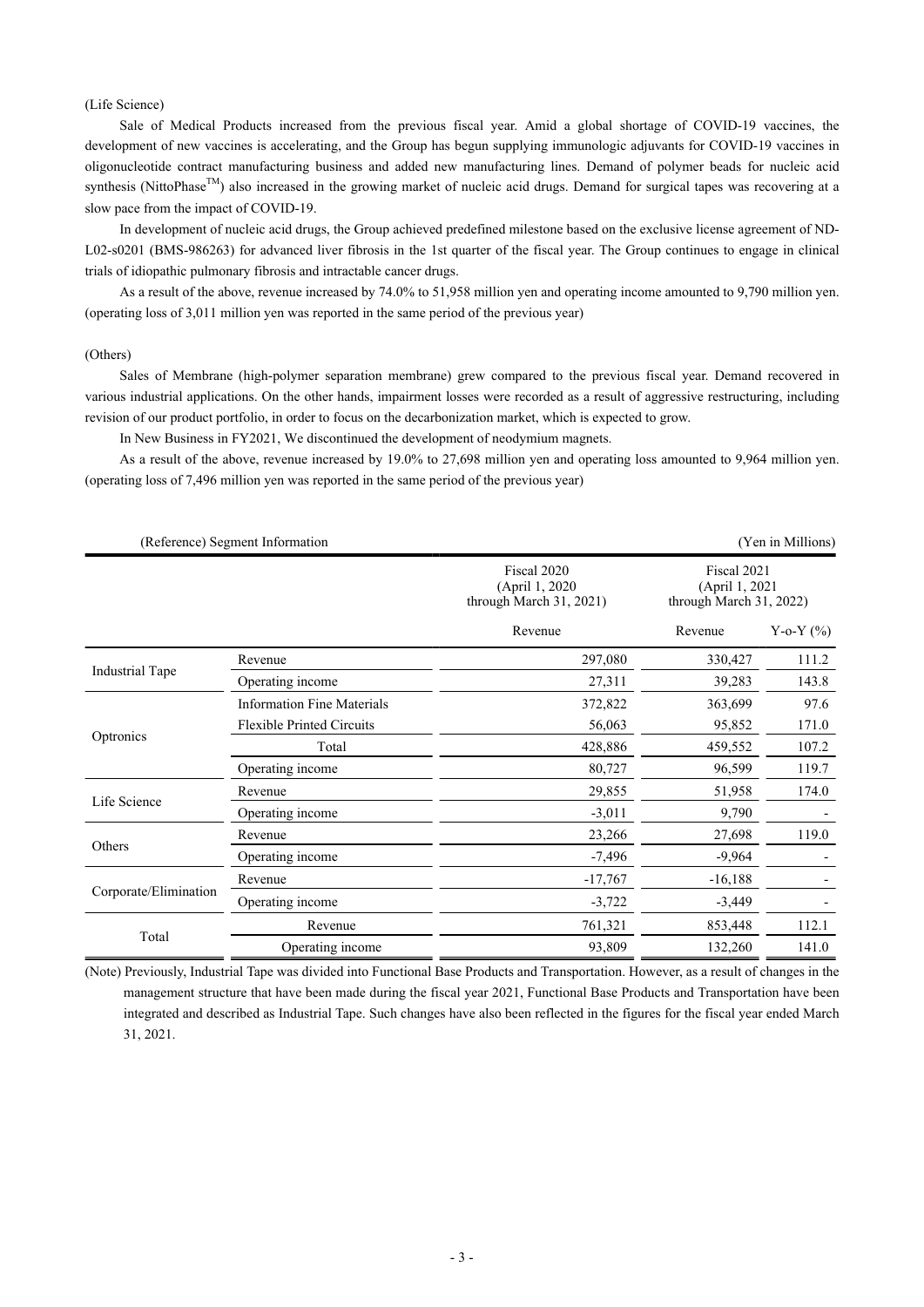#### (Life Science)

Sale of Medical Products increased from the previous fiscal year. Amid a global shortage of COVID-19 vaccines, the development of new vaccines is accelerating, and the Group has begun supplying immunologic adjuvants for COVID-19 vaccines in oligonucleotide contract manufacturing business and added new manufacturing lines. Demand of polymer beads for nucleic acid synthesis (NittoPhase<sup>TM</sup>) also increased in the growing market of nucleic acid drugs. Demand for surgical tapes was recovering at a slow pace from the impact of COVID-19.

In development of nucleic acid drugs, the Group achieved predefined milestone based on the exclusive license agreement of ND-L02-s0201 (BMS-986263) for advanced liver fibrosis in the 1st quarter of the fiscal year. The Group continues to engage in clinical trials of idiopathic pulmonary fibrosis and intractable cancer drugs.

As a result of the above, revenue increased by 74.0% to 51,958 million yen and operating income amounted to 9,790 million yen. (operating loss of 3,011 million yen was reported in the same period of the previous year)

#### (Others)

Sales of Membrane (high-polymer separation membrane) grew compared to the previous fiscal year. Demand recovered in various industrial applications. On the other hands, impairment losses were recorded as a result of aggressive restructuring, including revision of our product portfolio, in order to focus on the decarbonization market, which is expected to grow.

In New Business in FY2021, We discontinued the development of neodymium magnets.

As a result of the above, revenue increased by 19.0% to 27,698 million yen and operating loss amounted to 9,964 million yen. (operating loss of 7,496 million yen was reported in the same period of the previous year)

|                        | (Reference) Segment Information   |                                                           |                                                           | (Yen in Millions) |  |
|------------------------|-----------------------------------|-----------------------------------------------------------|-----------------------------------------------------------|-------------------|--|
|                        |                                   | Fiscal 2020<br>(April 1, 2020)<br>through March 31, 2021) | Fiscal 2021<br>(April 1, 2021)<br>through March 31, 2022) |                   |  |
|                        |                                   | Revenue                                                   | Revenue                                                   | Y-o-Y $(\% )$     |  |
|                        | Revenue                           | 297,080                                                   | 330,427                                                   | 111.2             |  |
| <b>Industrial Tape</b> | Operating income                  | 27,311                                                    | 39,283                                                    | 143.8             |  |
|                        | <b>Information Fine Materials</b> | 372,822                                                   | 363,699                                                   | 97.6              |  |
| Optronics              | <b>Flexible Printed Circuits</b>  | 56,063                                                    | 95,852                                                    | 171.0             |  |
|                        | Total                             | 428,886                                                   | 459,552                                                   | 107.2             |  |
|                        | Operating income                  | 80,727                                                    | 96,599                                                    | 119.7             |  |
|                        | Revenue                           | 29,855                                                    | 51,958                                                    | 174.0             |  |
| Life Science           | Operating income                  | $-3,011$                                                  | 9,790                                                     |                   |  |
|                        | Revenue                           | 23,266                                                    | 27,698                                                    | 119.0             |  |
| Others                 | Operating income                  | $-7,496$                                                  | $-9,964$                                                  |                   |  |
|                        | Revenue                           | $-17,767$                                                 | $-16,188$                                                 |                   |  |
| Corporate/Elimination  | Operating income                  | $-3,722$                                                  | $-3,449$                                                  |                   |  |
|                        | Revenue                           | 761,321                                                   | 853,448                                                   | 112.1             |  |
| Total                  | Operating income                  | 93,809                                                    | 132,260                                                   | 141.0             |  |

(Note) Previously, Industrial Tape was divided into Functional Base Products and Transportation. However, as a result of changes in the management structure that have been made during the fiscal year 2021, Functional Base Products and Transportation have been integrated and described as Industrial Tape. Such changes have also been reflected in the figures for the fiscal year ended March 31, 2021.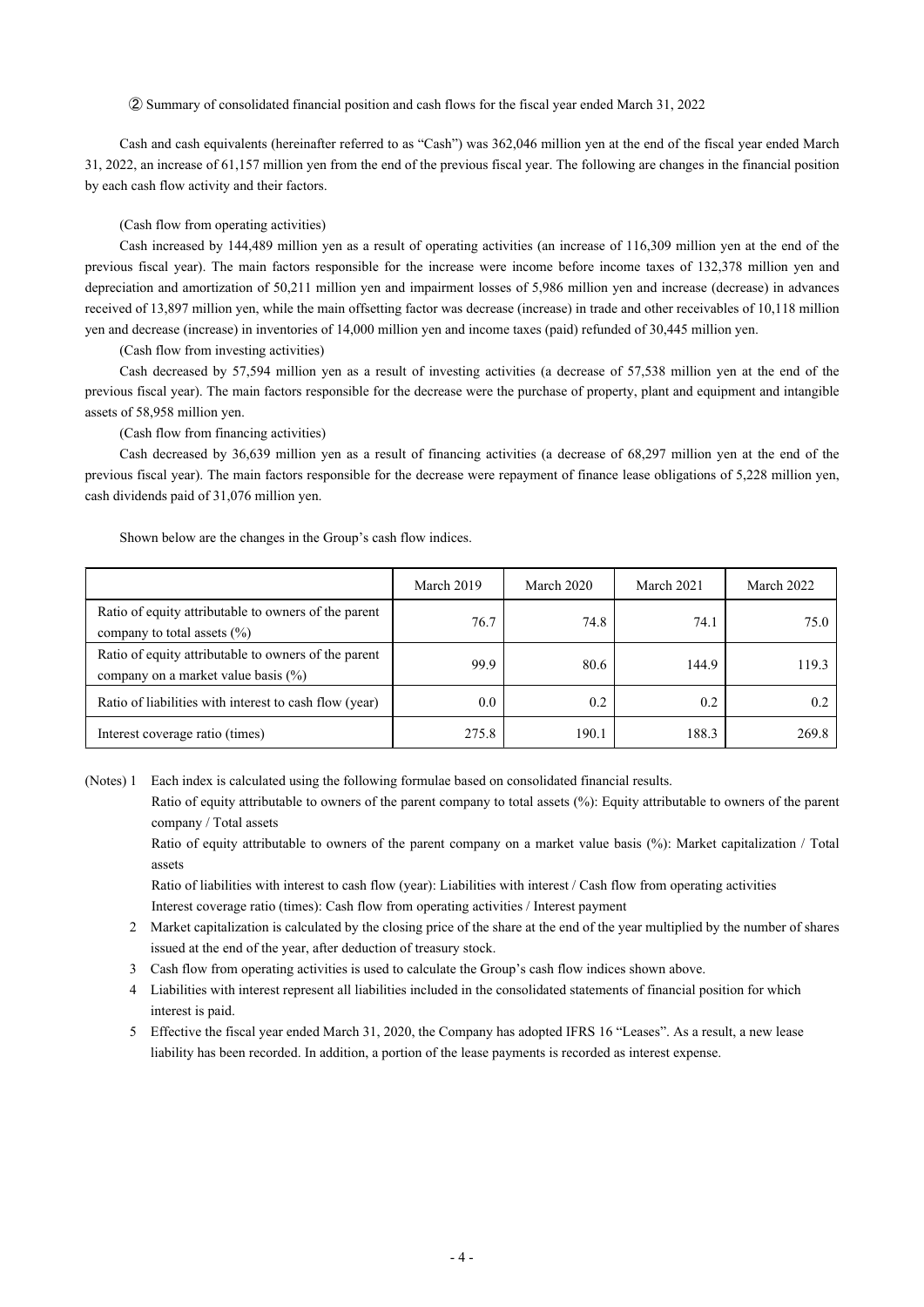② Summary of consolidated financial position and cash flows for the fiscal year ended March 31, 2022

Cash and cash equivalents (hereinafter referred to as "Cash") was 362,046 million yen at the end of the fiscal year ended March 31, 2022, an increase of 61,157 million yen from the end of the previous fiscal year. The following are changes in the financial position by each cash flow activity and their factors.

#### (Cash flow from operating activities)

Cash increased by 144,489 million yen as a result of operating activities (an increase of 116,309 million yen at the end of the previous fiscal year). The main factors responsible for the increase were income before income taxes of 132,378 million yen and depreciation and amortization of 50,211 million yen and impairment losses of 5,986 million yen and increase (decrease) in advances received of 13,897 million yen, while the main offsetting factor was decrease (increase) in trade and other receivables of 10,118 million yen and decrease (increase) in inventories of 14,000 million yen and income taxes (paid) refunded of 30,445 million yen.

(Cash flow from investing activities)

Cash decreased by 57,594 million yen as a result of investing activities (a decrease of 57,538 million yen at the end of the previous fiscal year). The main factors responsible for the decrease were the purchase of property, plant and equipment and intangible assets of 58,958 million yen.

(Cash flow from financing activities)

Cash decreased by 36,639 million yen as a result of financing activities (a decrease of 68,297 million yen at the end of the previous fiscal year). The main factors responsible for the decrease were repayment of finance lease obligations of 5,228 million yen, cash dividends paid of 31,076 million yen.

Shown below are the changes in the Group's cash flow indices.

|                                                                                             | March 2019 | March 2020 | March 2021 | March 2022 |
|---------------------------------------------------------------------------------------------|------------|------------|------------|------------|
| Ratio of equity attributable to owners of the parent<br>company to total assets $(\% )$     | 76.7       | 74.8       | 74.1       | 75.0       |
| Ratio of equity attributable to owners of the parent<br>company on a market value basis (%) | 99.9       | 80.6       | 144.9      | 119.3      |
| Ratio of liabilities with interest to cash flow (year)                                      | 0.0        | 0.2        | 0.2        | 0.2        |
| Interest coverage ratio (times)                                                             | 275.8      | 190.1      | 188.3      | 269.8      |

(Notes) 1 Each index is calculated using the following formulae based on consolidated financial results.

Ratio of equity attributable to owners of the parent company to total assets (%): Equity attributable to owners of the parent company / Total assets

Ratio of equity attributable to owners of the parent company on a market value basis (%): Market capitalization / Total assets

Ratio of liabilities with interest to cash flow (year): Liabilities with interest / Cash flow from operating activities Interest coverage ratio (times): Cash flow from operating activities / Interest payment

- 2 Market capitalization is calculated by the closing price of the share at the end of the year multiplied by the number of shares issued at the end of the year, after deduction of treasury stock.
- 3 Cash flow from operating activities is used to calculate the Group's cash flow indices shown above.
- 4 Liabilities with interest represent all liabilities included in the consolidated statements of financial position for which interest is paid.
- 5 Effective the fiscal year ended March 31, 2020, the Company has adopted IFRS 16 "Leases". As a result, a new lease liability has been recorded. In addition, a portion of the lease payments is recorded as interest expense.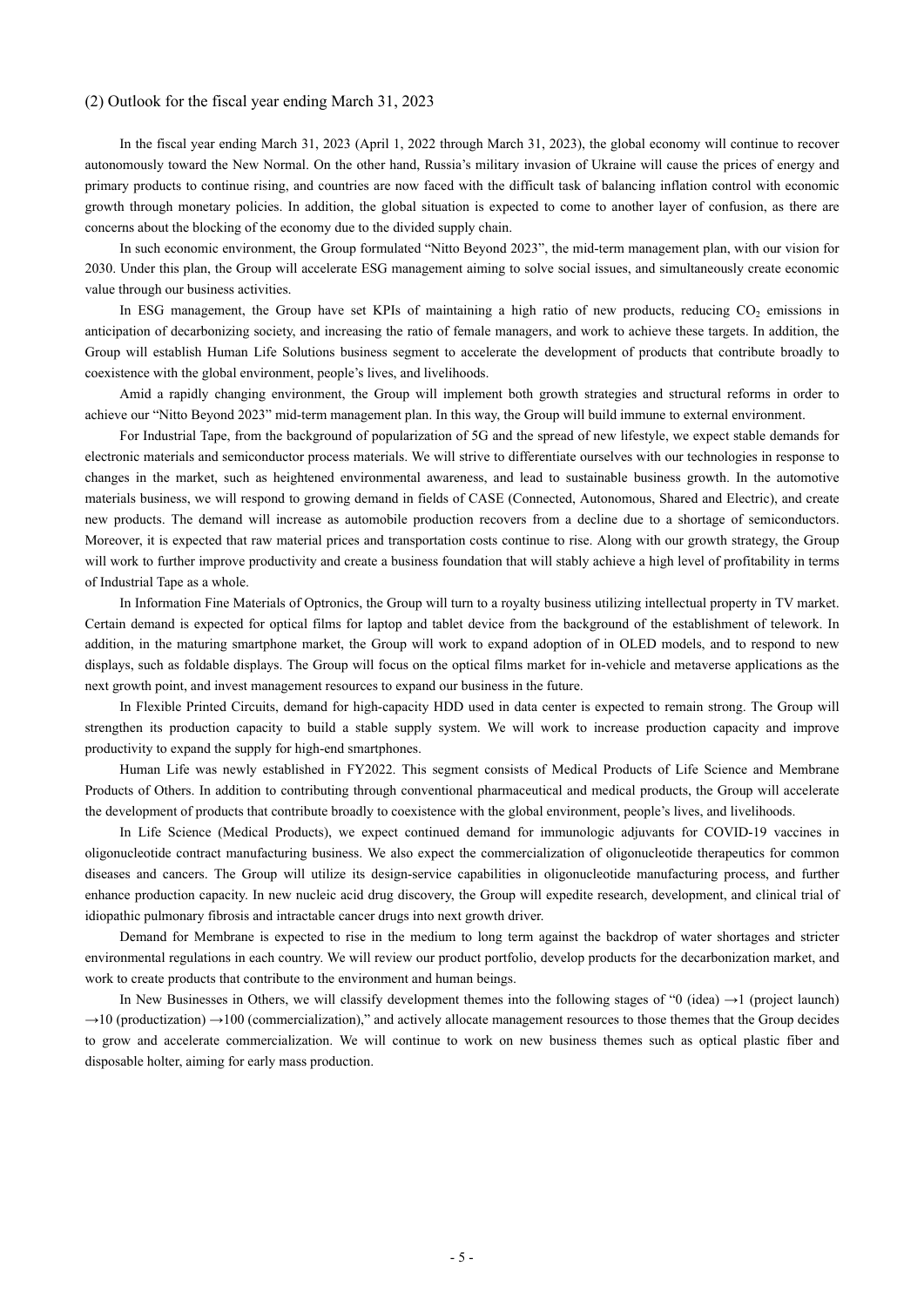#### (2) Outlook for the fiscal year ending March 31, 2023

In the fiscal year ending March 31, 2023 (April 1, 2022 through March 31, 2023), the global economy will continue to recover autonomously toward the New Normal. On the other hand, Russia's military invasion of Ukraine will cause the prices of energy and primary products to continue rising, and countries are now faced with the difficult task of balancing inflation control with economic growth through monetary policies. In addition, the global situation is expected to come to another layer of confusion, as there are concerns about the blocking of the economy due to the divided supply chain.

In such economic environment, the Group formulated "Nitto Beyond 2023", the mid-term management plan, with our vision for 2030. Under this plan, the Group will accelerate ESG management aiming to solve social issues, and simultaneously create economic value through our business activities.

In ESG management, the Group have set KPIs of maintaining a high ratio of new products, reducing CO<sub>2</sub> emissions in anticipation of decarbonizing society, and increasing the ratio of female managers, and work to achieve these targets. In addition, the Group will establish Human Life Solutions business segment to accelerate the development of products that contribute broadly to coexistence with the global environment, people's lives, and livelihoods.

Amid a rapidly changing environment, the Group will implement both growth strategies and structural reforms in order to achieve our "Nitto Beyond 2023" mid-term management plan. In this way, the Group will build immune to external environment.

For Industrial Tape, from the background of popularization of 5G and the spread of new lifestyle, we expect stable demands for electronic materials and semiconductor process materials. We will strive to differentiate ourselves with our technologies in response to changes in the market, such as heightened environmental awareness, and lead to sustainable business growth. In the automotive materials business, we will respond to growing demand in fields of CASE (Connected, Autonomous, Shared and Electric), and create new products. The demand will increase as automobile production recovers from a decline due to a shortage of semiconductors. Moreover, it is expected that raw material prices and transportation costs continue to rise. Along with our growth strategy, the Group will work to further improve productivity and create a business foundation that will stably achieve a high level of profitability in terms of Industrial Tape as a whole.

In Information Fine Materials of Optronics, the Group will turn to a royalty business utilizing intellectual property in TV market. Certain demand is expected for optical films for laptop and tablet device from the background of the establishment of telework. In addition, in the maturing smartphone market, the Group will work to expand adoption of in OLED models, and to respond to new displays, such as foldable displays. The Group will focus on the optical films market for in-vehicle and metaverse applications as the next growth point, and invest management resources to expand our business in the future.

In Flexible Printed Circuits, demand for high-capacity HDD used in data center is expected to remain strong. The Group will strengthen its production capacity to build a stable supply system. We will work to increase production capacity and improve productivity to expand the supply for high-end smartphones.

Human Life was newly established in FY2022. This segment consists of Medical Products of Life Science and Membrane Products of Others. In addition to contributing through conventional pharmaceutical and medical products, the Group will accelerate the development of products that contribute broadly to coexistence with the global environment, people's lives, and livelihoods.

In Life Science (Medical Products), we expect continued demand for immunologic adjuvants for COVID-19 vaccines in oligonucleotide contract manufacturing business. We also expect the commercialization of oligonucleotide therapeutics for common diseases and cancers. The Group will utilize its design-service capabilities in oligonucleotide manufacturing process, and further enhance production capacity. In new nucleic acid drug discovery, the Group will expedite research, development, and clinical trial of idiopathic pulmonary fibrosis and intractable cancer drugs into next growth driver.

Demand for Membrane is expected to rise in the medium to long term against the backdrop of water shortages and stricter environmental regulations in each country. We will review our product portfolio, develop products for the decarbonization market, and work to create products that contribute to the environment and human beings.

In New Businesses in Others, we will classify development themes into the following stages of "0 (idea)  $\rightarrow$ 1 (project launch)  $\rightarrow$ 10 (productization)  $\rightarrow$ 100 (commercialization)," and actively allocate management resources to those themes that the Group decides to grow and accelerate commercialization. We will continue to work on new business themes such as optical plastic fiber and disposable holter, aiming for early mass production.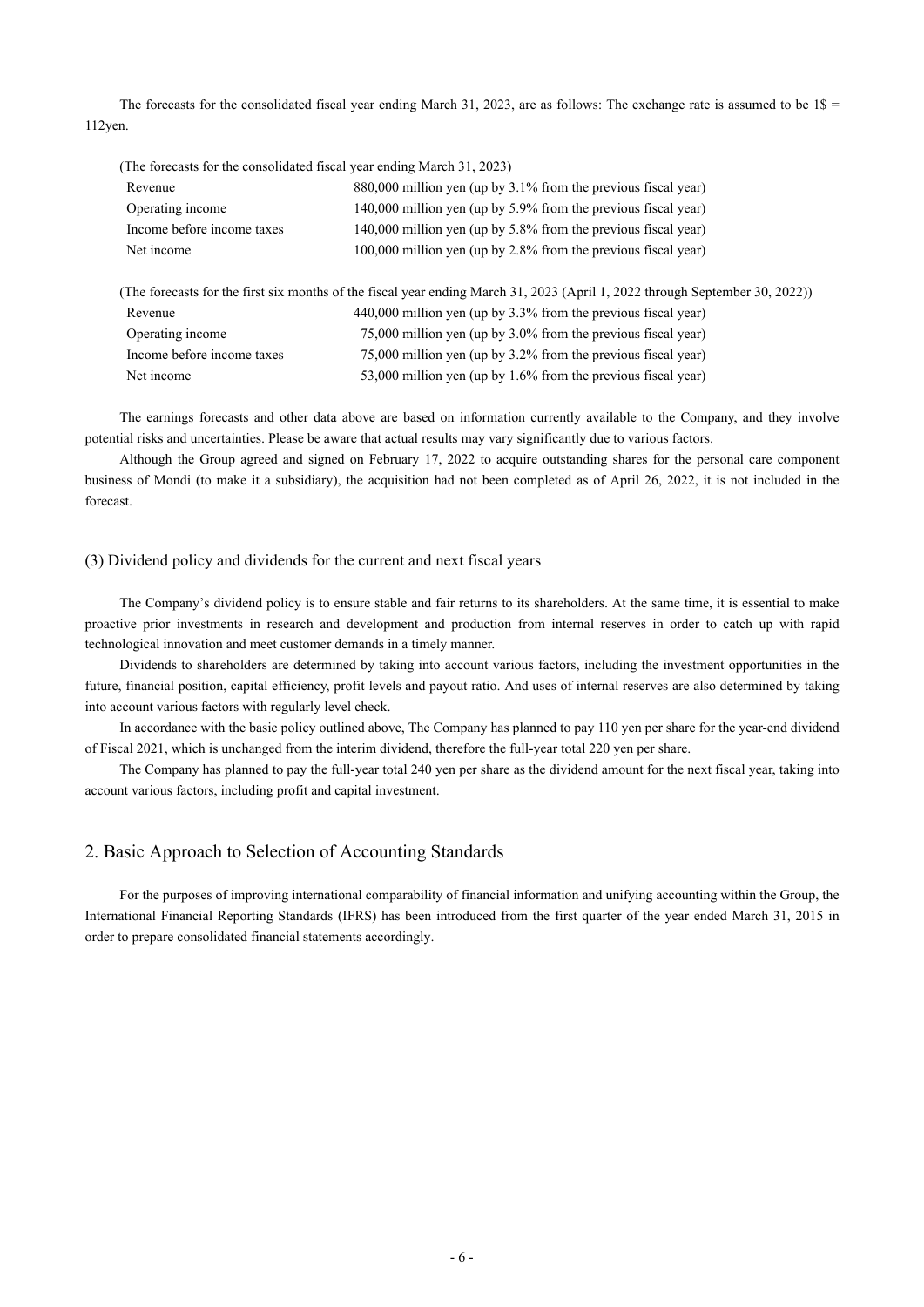The forecasts for the consolidated fiscal year ending March 31, 2023, are as follows: The exchange rate is assumed to be  $1\$ 112yen.

| (The forecasts for the consolidated fiscal year ending March 31, 2023) |                                                                                                                              |
|------------------------------------------------------------------------|------------------------------------------------------------------------------------------------------------------------------|
| Revenue                                                                | 880,000 million yen (up by 3.1% from the previous fiscal year)                                                               |
| Operating income                                                       | 140,000 million yen (up by 5.9% from the previous fiscal year)                                                               |
| Income before income taxes                                             | 140,000 million yen (up by 5.8% from the previous fiscal year)                                                               |
| Net income                                                             | 100,000 million yen (up by 2.8% from the previous fiscal year)                                                               |
|                                                                        | (The forecasts for the first six months of the fiscal year ending March 31, 2023 (April 1, 2022 through September 30, 2022)) |
| Revenue                                                                | 440,000 million yen (up by 3.3% from the previous fiscal year)                                                               |
| Operating income                                                       | 75,000 million yen (up by 3.0% from the previous fiscal year)                                                                |
| Income before income taxes                                             | 75,000 million yen (up by 3.2% from the previous fiscal year)                                                                |
| Net income                                                             | 53,000 million yen (up by 1.6% from the previous fiscal year)                                                                |

The earnings forecasts and other data above are based on information currently available to the Company, and they involve potential risks and uncertainties. Please be aware that actual results may vary significantly due to various factors.

Although the Group agreed and signed on February 17, 2022 to acquire outstanding shares for the personal care component business of Mondi (to make it a subsidiary), the acquisition had not been completed as of April 26, 2022, it is not included in the forecast.

#### (3) Dividend policy and dividends for the current and next fiscal years

The Company's dividend policy is to ensure stable and fair returns to its shareholders. At the same time, it is essential to make proactive prior investments in research and development and production from internal reserves in order to catch up with rapid technological innovation and meet customer demands in a timely manner.

Dividends to shareholders are determined by taking into account various factors, including the investment opportunities in the future, financial position, capital efficiency, profit levels and payout ratio. And uses of internal reserves are also determined by taking into account various factors with regularly level check.

In accordance with the basic policy outlined above, The Company has planned to pay 110 yen per share for the year-end dividend of Fiscal 2021, which is unchanged from the interim dividend, therefore the full-year total 220 yen per share.

The Company has planned to pay the full-year total 240 yen per share as the dividend amount for the next fiscal year, taking into account various factors, including profit and capital investment.

#### 2. Basic Approach to Selection of Accounting Standards

For the purposes of improving international comparability of financial information and unifying accounting within the Group, the International Financial Reporting Standards (IFRS) has been introduced from the first quarter of the year ended March 31, 2015 in order to prepare consolidated financial statements accordingly.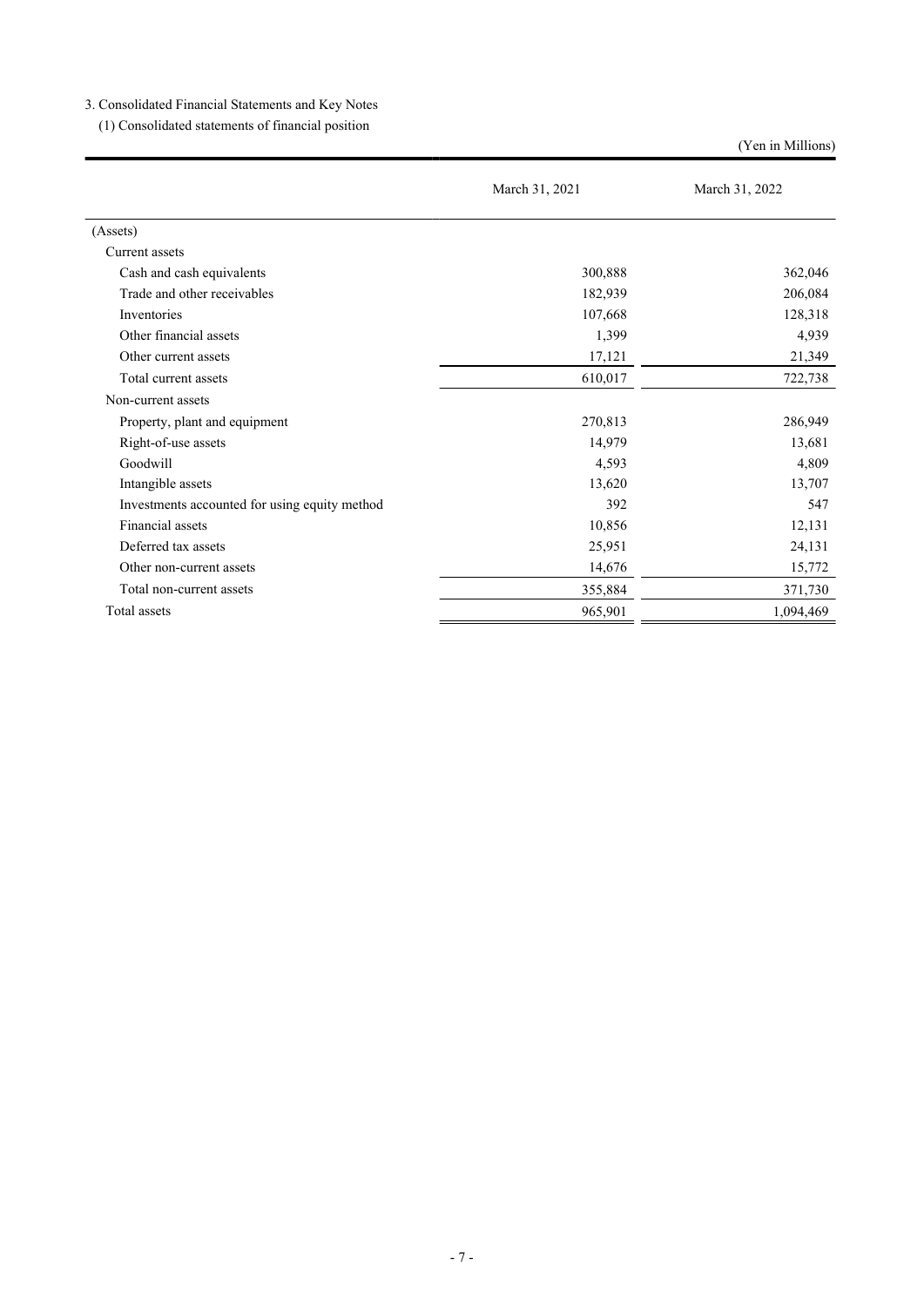3. Consolidated Financial Statements and Key Notes

(1) Consolidated statements of financial position

(Yen in Millions)

|                                               | March 31, 2021 | March 31, 2022 |  |
|-----------------------------------------------|----------------|----------------|--|
| (Assets)                                      |                |                |  |
| Current assets                                |                |                |  |
| Cash and cash equivalents                     | 300,888        | 362,046        |  |
| Trade and other receivables                   | 182,939        | 206,084        |  |
| Inventories                                   | 107,668        | 128,318        |  |
| Other financial assets                        | 1,399          | 4,939          |  |
| Other current assets                          | 17,121         | 21,349         |  |
| Total current assets                          | 610,017        | 722,738        |  |
| Non-current assets                            |                |                |  |
| Property, plant and equipment                 | 270,813        | 286,949        |  |
| Right-of-use assets                           | 14,979         | 13,681         |  |
| Goodwill                                      | 4,593          | 4,809          |  |
| Intangible assets                             | 13,620         | 13,707         |  |
| Investments accounted for using equity method | 392            | 547            |  |
| Financial assets                              | 10,856         | 12,131         |  |
| Deferred tax assets                           | 25,951         | 24,131         |  |
| Other non-current assets                      | 14,676         | 15,772         |  |
| Total non-current assets                      | 355,884        | 371,730        |  |
| Total assets                                  | 965,901        | 1,094,469      |  |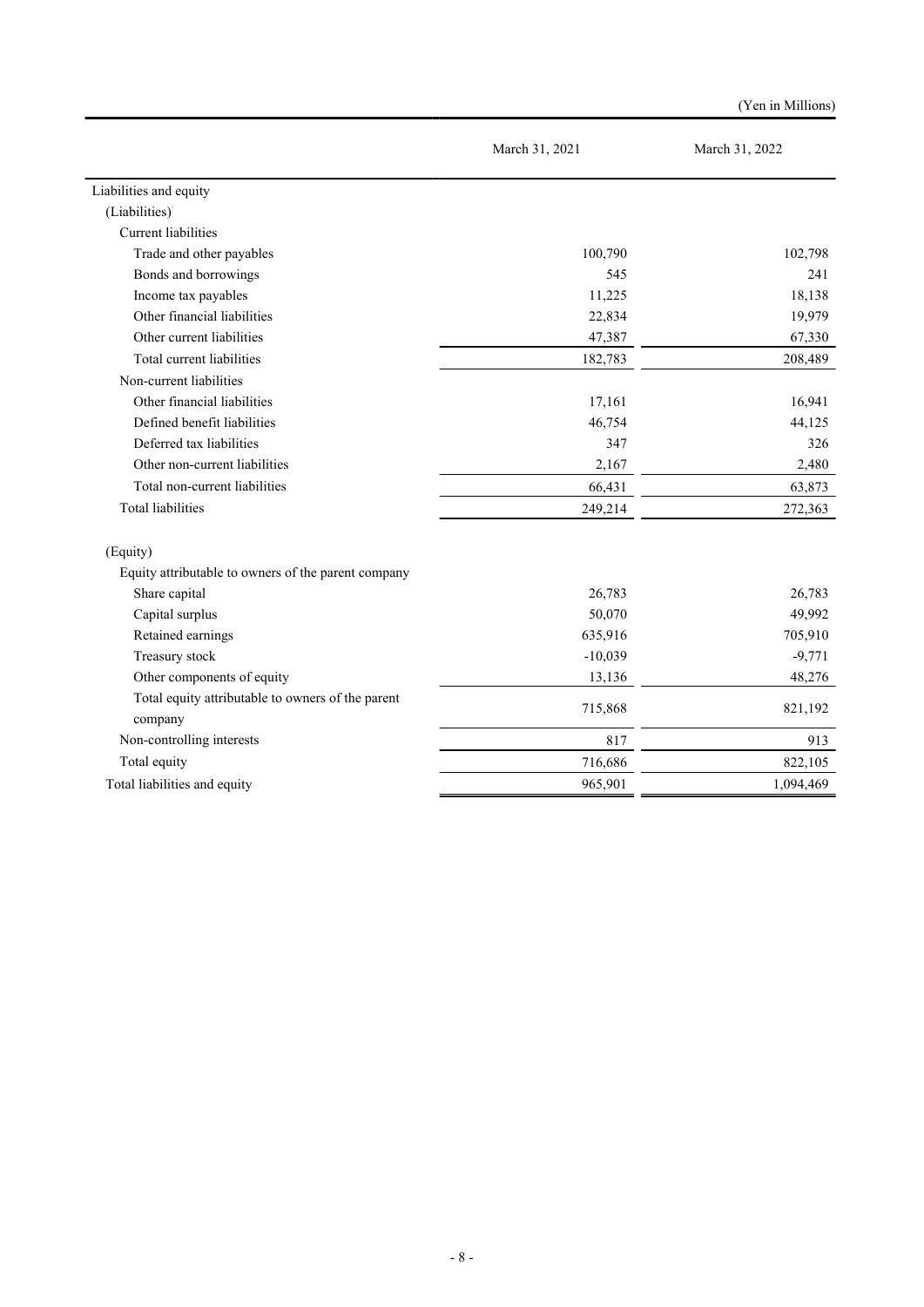|                                                              |                | (Yen in Millions) |  |
|--------------------------------------------------------------|----------------|-------------------|--|
|                                                              | March 31, 2021 | March 31, 2022    |  |
| Liabilities and equity                                       |                |                   |  |
| (Liabilities)                                                |                |                   |  |
| <b>Current</b> liabilities                                   |                |                   |  |
| Trade and other payables                                     | 100,790        | 102,798           |  |
| Bonds and borrowings                                         | 545            | 241               |  |
| Income tax payables                                          | 11,225         | 18,138            |  |
| Other financial liabilities                                  | 22,834         | 19,979            |  |
| Other current liabilities                                    | 47,387         | 67,330            |  |
| Total current liabilities                                    | 182,783        | 208,489           |  |
| Non-current liabilities                                      |                |                   |  |
| Other financial liabilities                                  | 17,161         | 16,941            |  |
| Defined benefit liabilities                                  | 46,754         | 44,125            |  |
| Deferred tax liabilities                                     | 347            | 326               |  |
| Other non-current liabilities                                | 2,167          | 2,480             |  |
| Total non-current liabilities                                | 66,431         | 63,873            |  |
| <b>Total liabilities</b>                                     | 249,214        | 272,363           |  |
| (Equity)                                                     |                |                   |  |
| Equity attributable to owners of the parent company          |                |                   |  |
| Share capital                                                | 26,783         | 26,783            |  |
| Capital surplus                                              | 50,070         | 49,992            |  |
| Retained earnings                                            | 635,916        | 705,910           |  |
| Treasury stock                                               | $-10,039$      | $-9,771$          |  |
| Other components of equity                                   | 13,136         | 48,276            |  |
| Total equity attributable to owners of the parent<br>company | 715,868        | 821,192           |  |
| Non-controlling interests                                    | 817            | 913               |  |
| Total equity                                                 | 716,686        | 822,105           |  |
| Total liabilities and equity                                 | 965,901        | 1,094,469         |  |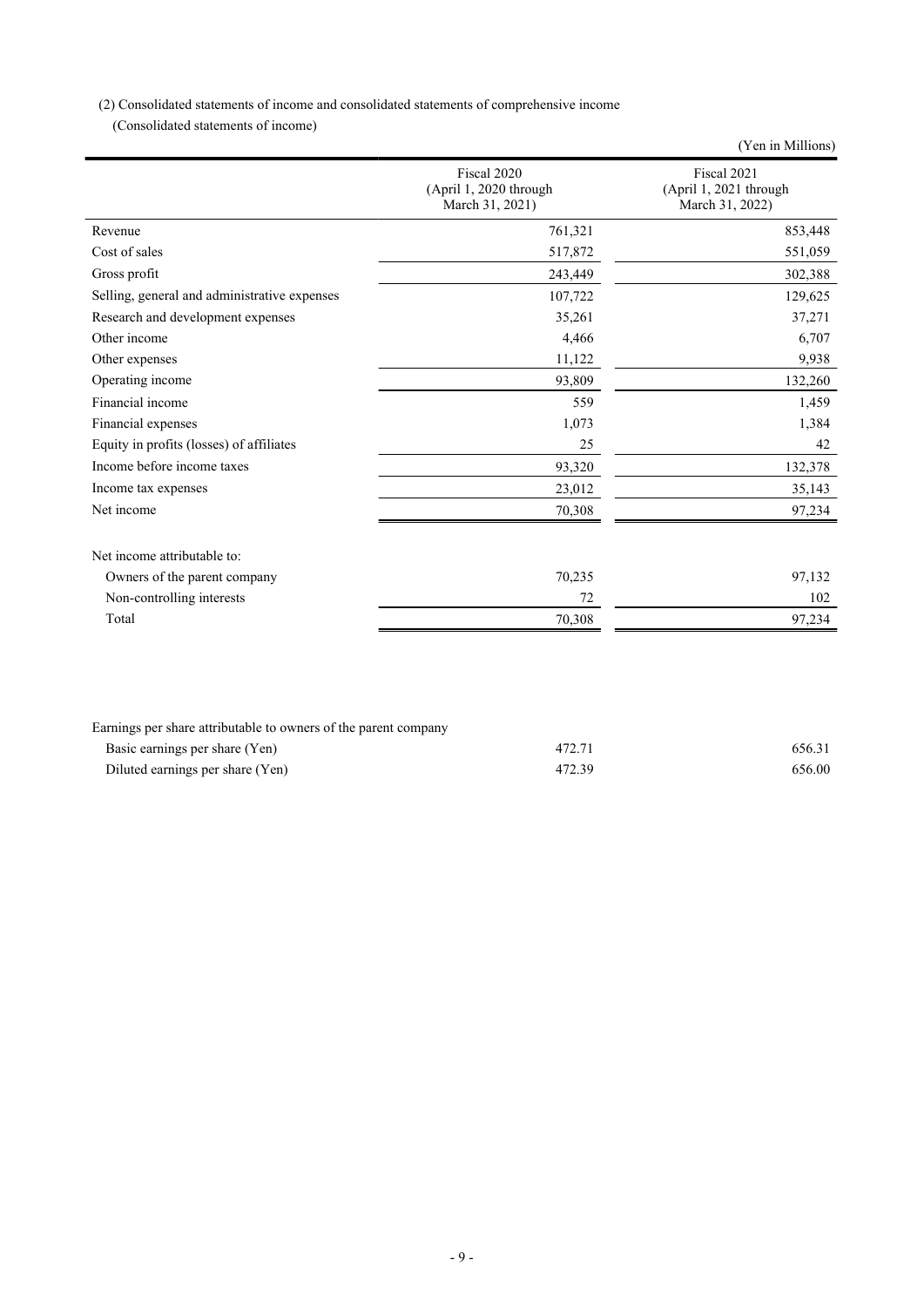(2) Consolidated statements of income and consolidated statements of comprehensive income

(Consolidated statements of income)

|                                              |                                                          | (Yen in Millions)                                        |
|----------------------------------------------|----------------------------------------------------------|----------------------------------------------------------|
|                                              | Fiscal 2020<br>(April 1, 2020 through<br>March 31, 2021) | Fiscal 2021<br>(April 1, 2021 through<br>March 31, 2022) |
| Revenue                                      | 761,321                                                  | 853,448                                                  |
| Cost of sales                                | 517,872                                                  | 551,059                                                  |
| Gross profit                                 | 243,449                                                  | 302,388                                                  |
| Selling, general and administrative expenses | 107,722                                                  | 129,625                                                  |
| Research and development expenses            | 35,261                                                   | 37,271                                                   |
| Other income                                 | 4,466                                                    | 6,707                                                    |
| Other expenses                               | 11,122                                                   | 9,938                                                    |
| Operating income                             | 93,809                                                   | 132,260                                                  |
| Financial income                             | 559                                                      | 1,459                                                    |
| Financial expenses                           | 1,073                                                    | 1,384                                                    |
| Equity in profits (losses) of affiliates     | 25                                                       | 42                                                       |
| Income before income taxes                   | 93,320                                                   | 132,378                                                  |
| Income tax expenses                          | 23,012                                                   | 35,143                                                   |
| Net income                                   | 70,308                                                   | 97,234                                                   |
| Net income attributable to:                  |                                                          |                                                          |
| Owners of the parent company                 | 70,235                                                   | 97,132                                                   |
| Non-controlling interests                    | 72                                                       | 102                                                      |
| Total                                        | 70,308                                                   | 97,234                                                   |
|                                              |                                                          |                                                          |

| Earnings per share attributable to owners of the parent company |        |        |
|-----------------------------------------------------------------|--------|--------|
| Basic earnings per share (Yen)                                  | 472.71 | 656.31 |
| Diluted earnings per share (Yen)                                | 472.39 | 656.00 |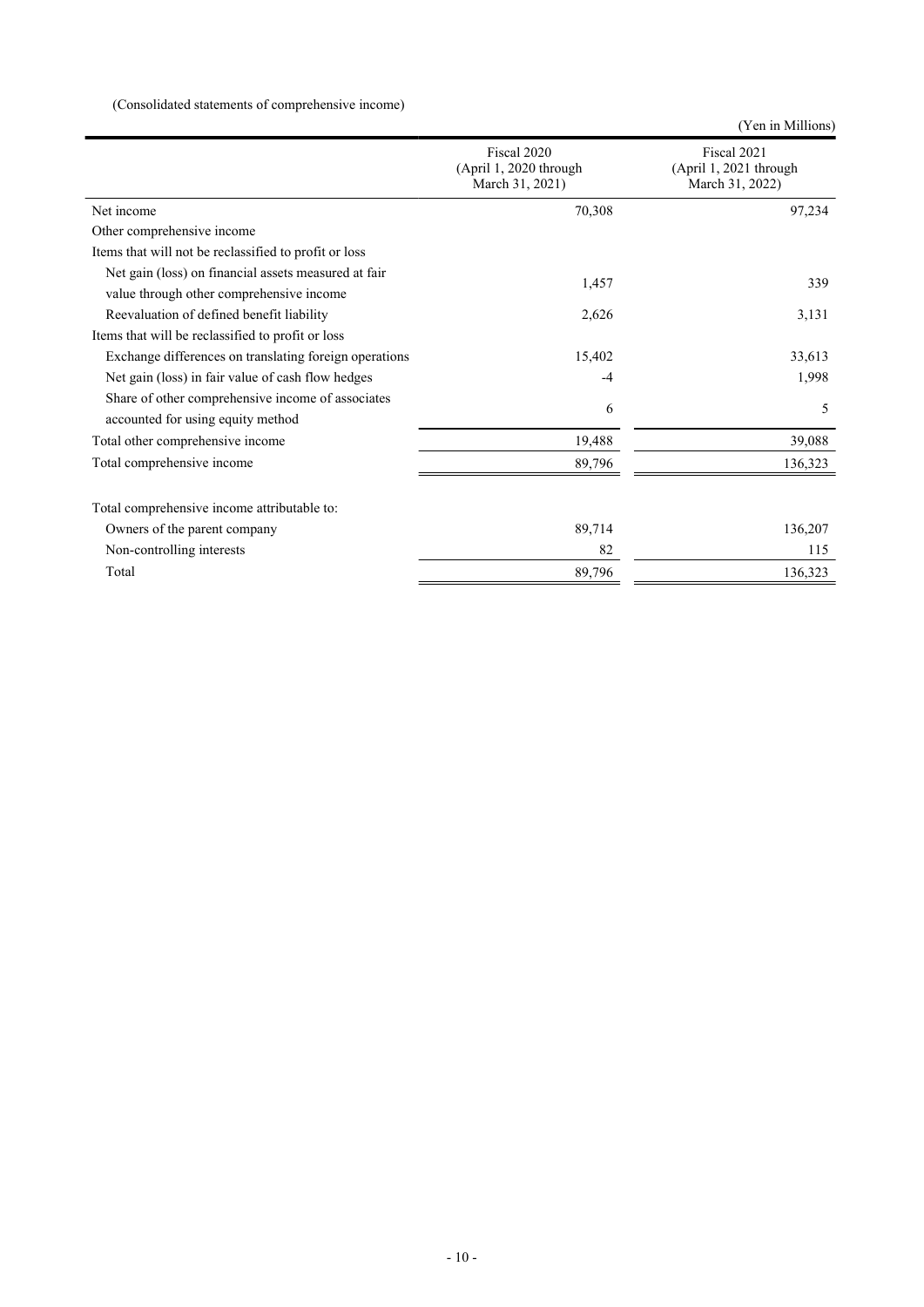# (Consolidated statements of comprehensive income)

|                                                                                                  |                                                          | (Yen in Millions)                                        |
|--------------------------------------------------------------------------------------------------|----------------------------------------------------------|----------------------------------------------------------|
|                                                                                                  | Fiscal 2020<br>(April 1, 2020 through<br>March 31, 2021) | Fiscal 2021<br>(April 1, 2021 through<br>March 31, 2022) |
| Net income                                                                                       | 70,308                                                   | 97,234                                                   |
| Other comprehensive income                                                                       |                                                          |                                                          |
| Items that will not be reclassified to profit or loss                                            |                                                          |                                                          |
| Net gain (loss) on financial assets measured at fair<br>value through other comprehensive income | 1,457                                                    | 339                                                      |
| Reevaluation of defined benefit liability                                                        | 2,626                                                    | 3,131                                                    |
| Items that will be reclassified to profit or loss                                                |                                                          |                                                          |
| Exchange differences on translating foreign operations                                           | 15,402                                                   | 33,613                                                   |
| Net gain (loss) in fair value of cash flow hedges                                                | $-4$                                                     | 1,998                                                    |
| Share of other comprehensive income of associates<br>accounted for using equity method           | 6                                                        | 5                                                        |
| Total other comprehensive income                                                                 | 19,488                                                   | 39,088                                                   |
| Total comprehensive income                                                                       | 89,796                                                   | 136,323                                                  |
| Total comprehensive income attributable to:                                                      |                                                          |                                                          |
| Owners of the parent company                                                                     | 89,714                                                   | 136,207                                                  |
| Non-controlling interests                                                                        | 82                                                       | 115                                                      |
| Total                                                                                            | 89,796                                                   | 136,323                                                  |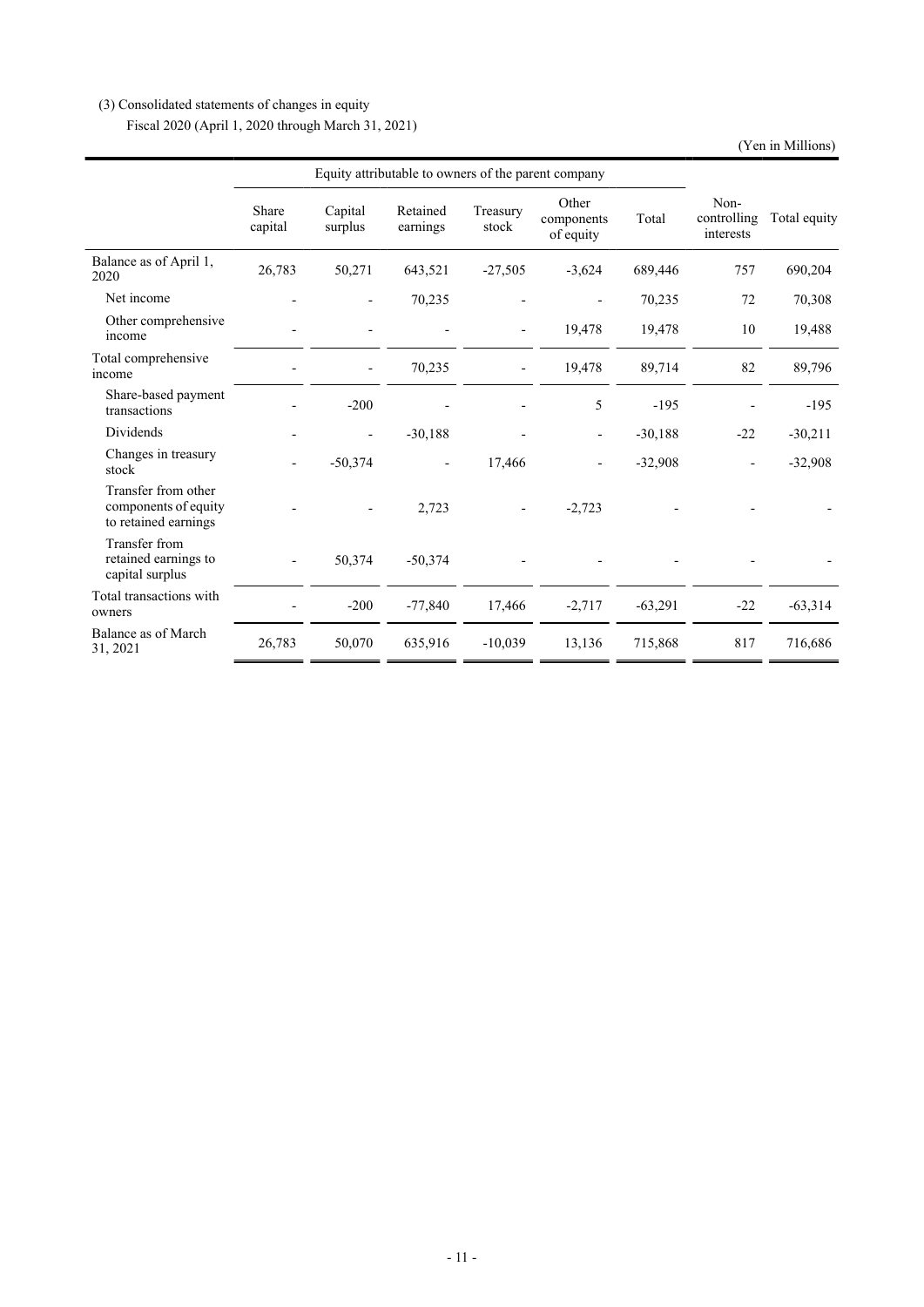# (3) Consolidated statements of changes in equity

Fiscal 2020 (April 1, 2020 through March 31, 2021)

(Yen in Millions)

|                                                                     | Equity attributable to owners of the parent company |                    |                          |                          |                                  |           |                                  |              |
|---------------------------------------------------------------------|-----------------------------------------------------|--------------------|--------------------------|--------------------------|----------------------------------|-----------|----------------------------------|--------------|
|                                                                     | Share<br>capital                                    | Capital<br>surplus | Retained<br>earnings     | Treasury<br>stock        | Other<br>components<br>of equity | Total     | Non-<br>controlling<br>interests | Total equity |
| Balance as of April 1,<br>2020                                      | 26,783                                              | 50,271             | 643,521                  | $-27,505$                | $-3,624$                         | 689,446   | 757                              | 690,204      |
| Net income                                                          |                                                     |                    | 70,235                   |                          |                                  | 70,235    | 72                               | 70,308       |
| Other comprehensive<br>income                                       |                                                     |                    |                          | $\overline{\phantom{a}}$ | 19,478                           | 19,478    | 10                               | 19,488       |
| Total comprehensive<br>income                                       |                                                     |                    | 70,235                   |                          | 19,478                           | 89,714    | 82                               | 89,796       |
| Share-based payment<br>transactions                                 |                                                     | $-200$             |                          |                          | 5                                | $-195$    |                                  | $-195$       |
| Dividends                                                           |                                                     |                    | $-30,188$                |                          |                                  | $-30,188$ | $-22$                            | $-30,211$    |
| Changes in treasury<br>stock                                        |                                                     | $-50,374$          | $\overline{\phantom{a}}$ | 17,466                   |                                  | $-32,908$ | $\overline{\phantom{a}}$         | $-32,908$    |
| Transfer from other<br>components of equity<br>to retained earnings |                                                     |                    | 2,723                    |                          | $-2,723$                         |           |                                  |              |
| Transfer from<br>retained earnings to<br>capital surplus            |                                                     | 50,374             | $-50,374$                |                          |                                  |           |                                  |              |
| Total transactions with<br>owners                                   |                                                     | $-200$             | $-77,840$                | 17,466                   | $-2,717$                         | $-63,291$ | $-22$                            | $-63,314$    |
| Balance as of March<br>31, 2021                                     | 26,783                                              | 50,070             | 635,916                  | $-10,039$                | 13,136                           | 715,868   | 817                              | 716,686      |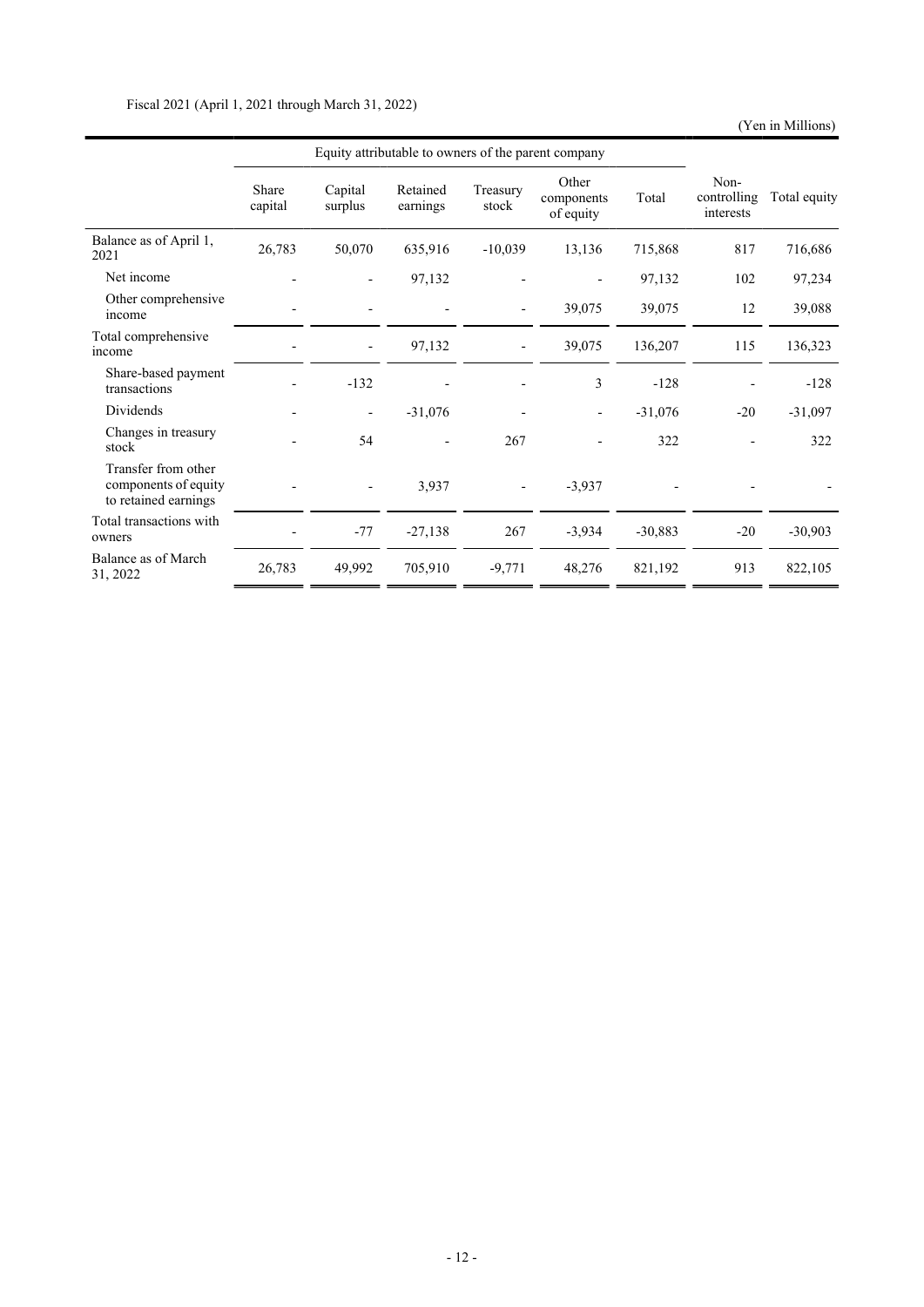(Yen in Millions)

|                                                                     | Equity attributable to owners of the parent company |                          |                      |                          |                                  |           |                                  |              |
|---------------------------------------------------------------------|-----------------------------------------------------|--------------------------|----------------------|--------------------------|----------------------------------|-----------|----------------------------------|--------------|
|                                                                     | Share<br>capital                                    | Capital<br>surplus       | Retained<br>earnings | Treasury<br>stock        | Other<br>components<br>of equity | Total     | Non-<br>controlling<br>interests | Total equity |
| Balance as of April 1,<br>2021                                      | 26,783                                              | 50,070                   | 635,916              | $-10,039$                | 13,136                           | 715,868   | 817                              | 716,686      |
| Net income                                                          |                                                     |                          | 97,132               |                          |                                  | 97,132    | 102                              | 97,234       |
| Other comprehensive<br>income                                       |                                                     |                          |                      | $\overline{\phantom{a}}$ | 39,075                           | 39,075    | 12                               | 39,088       |
| Total comprehensive<br>income                                       |                                                     |                          | 97,132               |                          | 39,075                           | 136,207   | 115                              | 136,323      |
| Share-based payment<br>transactions                                 |                                                     | $-132$                   |                      |                          | 3                                | $-128$    |                                  | $-128$       |
| Dividends                                                           |                                                     | $\overline{\phantom{a}}$ | $-31,076$            |                          |                                  | $-31,076$ | $-20$                            | $-31,097$    |
| Changes in treasury<br>stock                                        |                                                     | 54                       |                      | 267                      |                                  | 322       |                                  | 322          |
| Transfer from other<br>components of equity<br>to retained earnings |                                                     |                          | 3,937                | $\overline{\phantom{a}}$ | $-3,937$                         |           |                                  |              |
| Total transactions with<br>owners                                   |                                                     | $-77$                    | $-27,138$            | 267                      | $-3,934$                         | $-30,883$ | $-20$                            | $-30,903$    |
| Balance as of March<br>31, 2022                                     | 26,783                                              | 49,992                   | 705,910              | $-9,771$                 | 48,276                           | 821,192   | 913                              | 822,105      |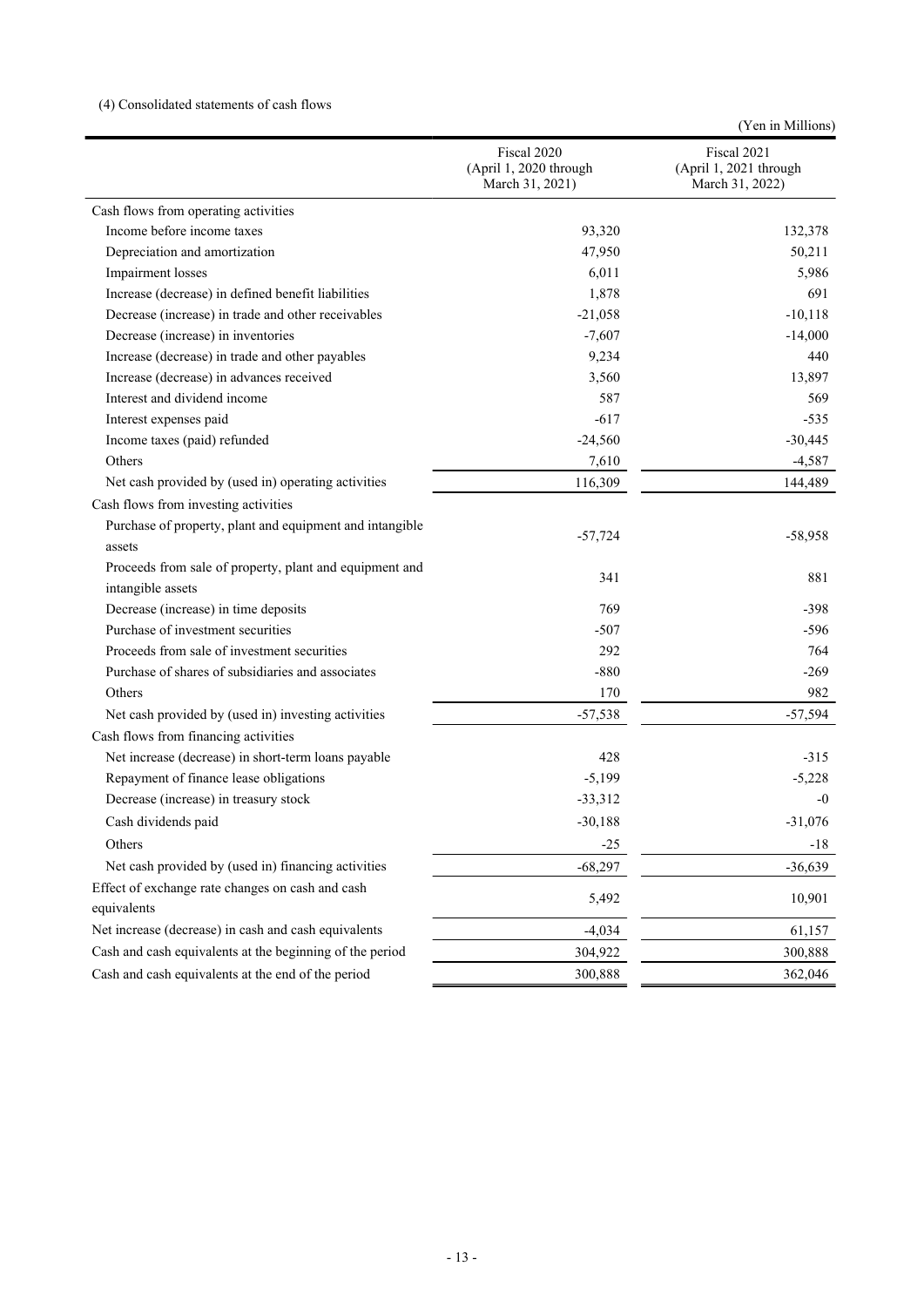# (4) Consolidated statements of cash flows

|                                                                              |                                                          | (Yen in Millions)                                        |
|------------------------------------------------------------------------------|----------------------------------------------------------|----------------------------------------------------------|
|                                                                              | Fiscal 2020<br>(April 1, 2020 through<br>March 31, 2021) | Fiscal 2021<br>(April 1, 2021 through<br>March 31, 2022) |
| Cash flows from operating activities                                         |                                                          |                                                          |
| Income before income taxes                                                   | 93,320                                                   | 132,378                                                  |
| Depreciation and amortization                                                | 47,950                                                   | 50,211                                                   |
| Impairment losses                                                            | 6,011                                                    | 5,986                                                    |
| Increase (decrease) in defined benefit liabilities                           | 1,878                                                    | 691                                                      |
| Decrease (increase) in trade and other receivables                           | $-21,058$                                                | $-10,118$                                                |
| Decrease (increase) in inventories                                           | $-7,607$                                                 | $-14,000$                                                |
| Increase (decrease) in trade and other payables                              | 9,234                                                    | 440                                                      |
| Increase (decrease) in advances received                                     | 3,560                                                    | 13,897                                                   |
| Interest and dividend income                                                 | 587                                                      | 569                                                      |
| Interest expenses paid                                                       | $-617$                                                   | $-535$                                                   |
| Income taxes (paid) refunded                                                 | $-24,560$                                                | $-30,445$                                                |
| Others                                                                       | 7,610                                                    | $-4,587$                                                 |
| Net cash provided by (used in) operating activities                          | 116,309                                                  | 144,489                                                  |
| Cash flows from investing activities                                         |                                                          |                                                          |
| Purchase of property, plant and equipment and intangible<br>assets           | $-57,724$                                                | $-58,958$                                                |
| Proceeds from sale of property, plant and equipment and<br>intangible assets | 341                                                      | 881                                                      |
| Decrease (increase) in time deposits                                         | 769                                                      | $-398$                                                   |
| Purchase of investment securities                                            | $-507$                                                   | $-596$                                                   |
| Proceeds from sale of investment securities                                  | 292                                                      | 764                                                      |
| Purchase of shares of subsidiaries and associates                            | $-880$                                                   | $-269$                                                   |
| Others                                                                       | 170                                                      | 982                                                      |
| Net cash provided by (used in) investing activities                          | $-57,538$                                                | $-57,594$                                                |
| Cash flows from financing activities                                         |                                                          |                                                          |
| Net increase (decrease) in short-term loans payable                          | 428                                                      | $-315$                                                   |
| Repayment of finance lease obligations                                       | $-5,199$                                                 | $-5,228$                                                 |
| Decrease (increase) in treasury stock                                        | $-33,312$                                                | $-0$                                                     |
| Cash dividends paid                                                          | $-30,188$                                                | $-31,076$                                                |
| Others                                                                       | $-25$                                                    | $-18$                                                    |
| Net cash provided by (used in) financing activities                          | $-68,297$                                                | $-36,639$                                                |
| Effect of exchange rate changes on cash and cash                             |                                                          |                                                          |
| equivalents                                                                  | 5,492                                                    | 10,901                                                   |
| Net increase (decrease) in cash and cash equivalents                         | $-4,034$                                                 | 61,157                                                   |
| Cash and cash equivalents at the beginning of the period                     | 304,922                                                  | 300,888                                                  |
| Cash and cash equivalents at the end of the period                           | 300,888                                                  | 362,046                                                  |
|                                                                              |                                                          |                                                          |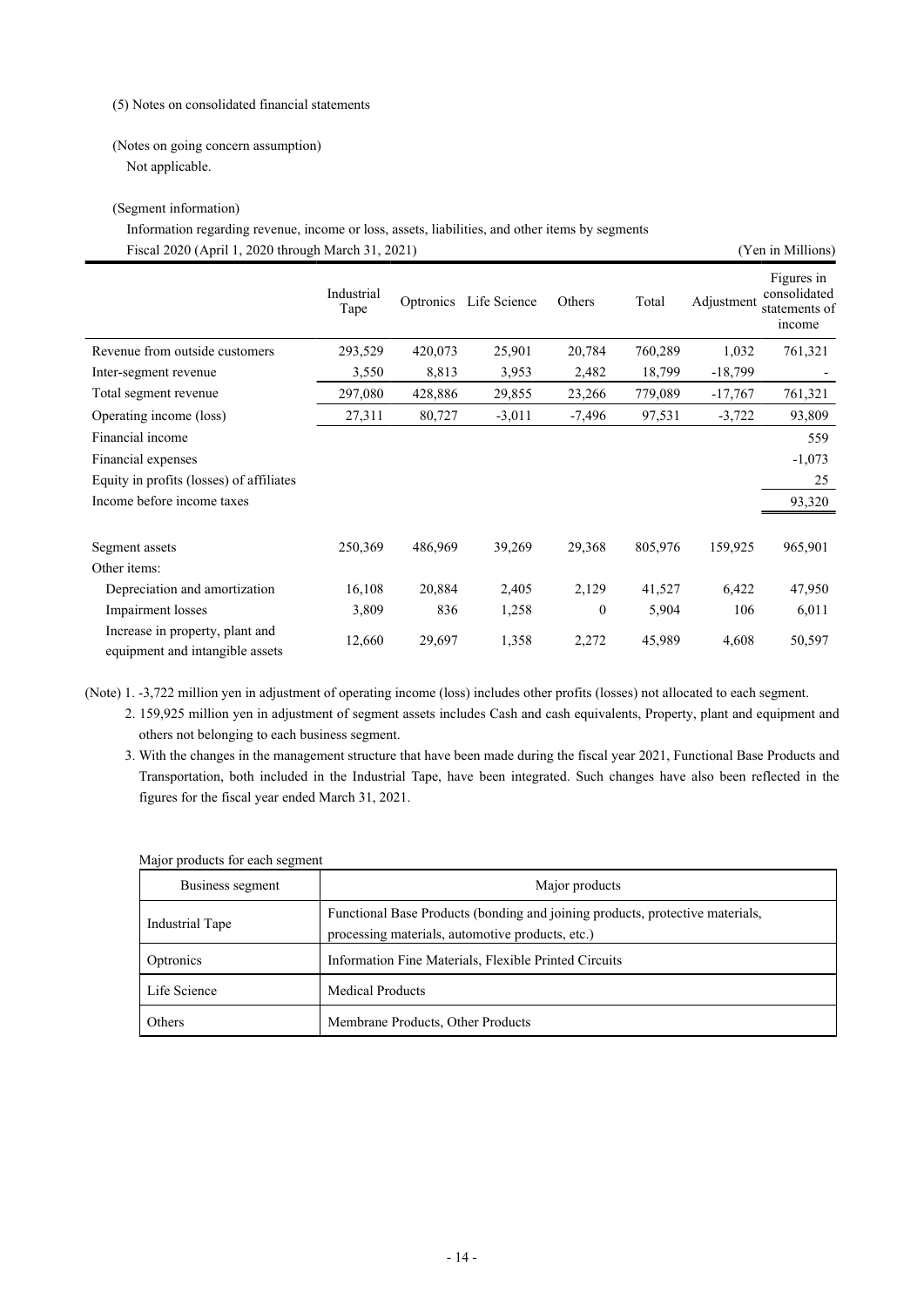#### (5) Notes on consolidated financial statements

### (Notes on going concern assumption) Not applicable.

### (Segment information)

Fiscal 2020 (April 1, 2020 through March 31, 2021) (Yen in Millions) Information regarding revenue, income or loss, assets, liabilities, and other items by segments

|                                                                    | Industrial<br>Tape | Optronics | Life Science | Others       | Total   | Adjustment | Figures in<br>consolidated<br>statements of<br>income |
|--------------------------------------------------------------------|--------------------|-----------|--------------|--------------|---------|------------|-------------------------------------------------------|
| Revenue from outside customers                                     | 293,529            | 420,073   | 25,901       | 20,784       | 760,289 | 1,032      | 761,321                                               |
| Inter-segment revenue                                              | 3,550              | 8,813     | 3,953        | 2,482        | 18,799  | $-18,799$  |                                                       |
| Total segment revenue                                              | 297,080            | 428,886   | 29,855       | 23,266       | 779,089 | $-17,767$  | 761,321                                               |
| Operating income (loss)                                            | 27,311             | 80,727    | $-3,011$     | $-7,496$     | 97,531  | $-3,722$   | 93,809                                                |
| Financial income                                                   |                    |           |              |              |         |            | 559                                                   |
| Financial expenses                                                 |                    |           |              |              |         |            | $-1,073$                                              |
| Equity in profits (losses) of affiliates                           |                    |           |              |              |         |            | 25                                                    |
| Income before income taxes                                         |                    |           |              |              |         |            | 93,320                                                |
|                                                                    |                    |           |              |              |         |            |                                                       |
| Segment assets                                                     | 250,369            | 486,969   | 39,269       | 29,368       | 805,976 | 159,925    | 965,901                                               |
| Other items:                                                       |                    |           |              |              |         |            |                                                       |
| Depreciation and amortization                                      | 16,108             | 20,884    | 2,405        | 2,129        | 41,527  | 6,422      | 47,950                                                |
| Impairment losses                                                  | 3,809              | 836       | 1,258        | $\mathbf{0}$ | 5,904   | 106        | 6,011                                                 |
| Increase in property, plant and<br>equipment and intangible assets | 12,660             | 29,697    | 1,358        | 2,272        | 45,989  | 4,608      | 50,597                                                |

(Note) 1. -3,722 million yen in adjustment of operating income (loss) includes other profits (losses) not allocated to each segment.

2. 159,925 million yen in adjustment of segment assets includes Cash and cash equivalents, Property, plant and equipment and others not belonging to each business segment.

3. With the changes in the management structure that have been made during the fiscal year 2021, Functional Base Products and Transportation, both included in the Industrial Tape, have been integrated. Such changes have also been reflected in the figures for the fiscal year ended March 31, 2021.

| Major products for each segment |  |  |
|---------------------------------|--|--|
|                                 |  |  |

| Business segment | Major products                                                                                                                    |
|------------------|-----------------------------------------------------------------------------------------------------------------------------------|
| Industrial Tape  | Functional Base Products (bonding and joining products, protective materials,<br>processing materials, automotive products, etc.) |
| Optronics        | Information Fine Materials, Flexible Printed Circuits                                                                             |
| Life Science     | Medical Products                                                                                                                  |
| Others           | Membrane Products, Other Products                                                                                                 |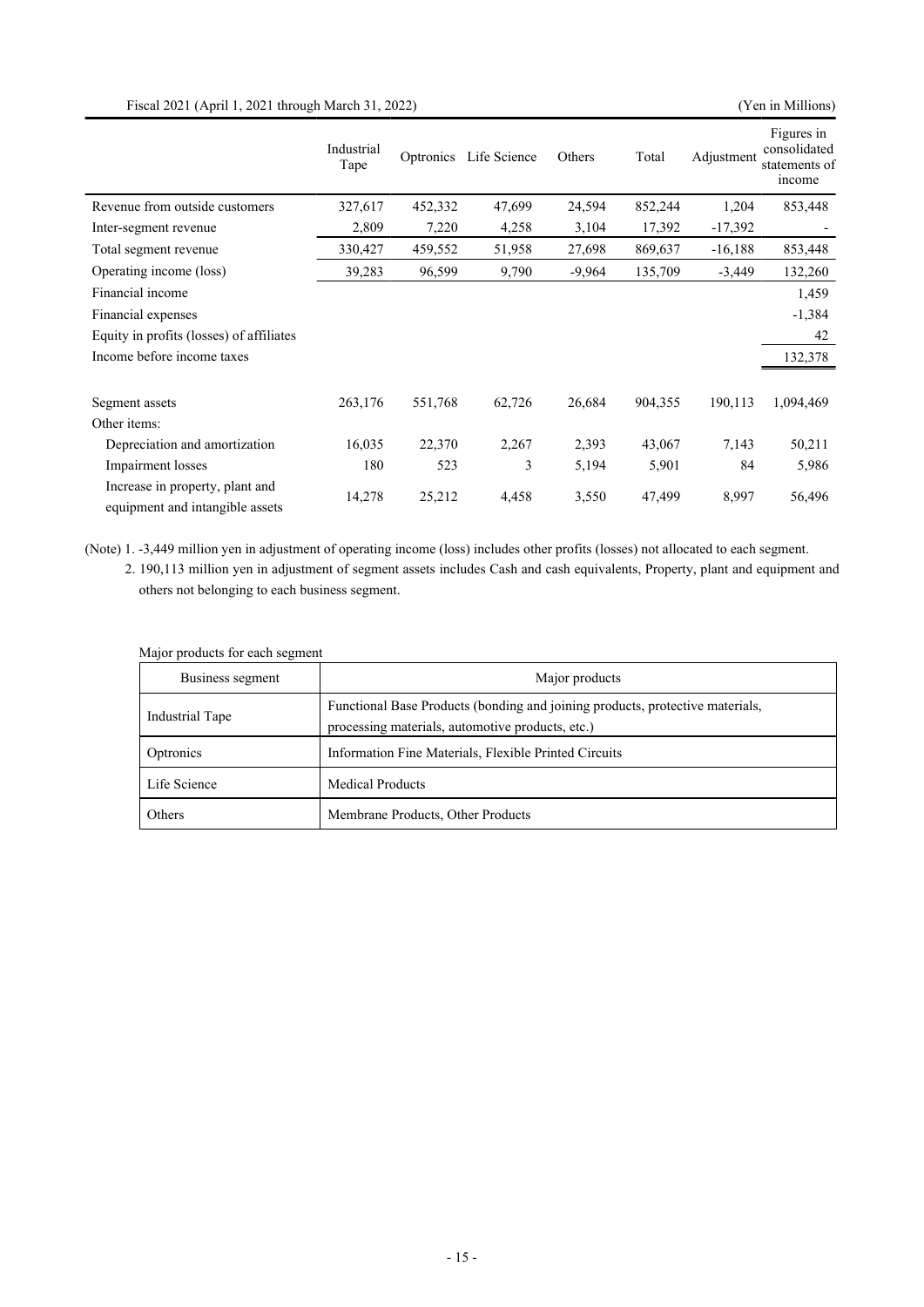## Fiscal 2021 (April 1, 2021 through March 31, 2022) (Yen in Millions)

|                                                                    | Industrial<br>Tape | Optronics | Life Science | Others   | Total   | Adjustment | Figures in<br>consolidated<br>statements of<br>income |
|--------------------------------------------------------------------|--------------------|-----------|--------------|----------|---------|------------|-------------------------------------------------------|
| Revenue from outside customers                                     | 327,617            | 452,332   | 47,699       | 24,594   | 852,244 | 1,204      | 853,448                                               |
| Inter-segment revenue                                              | 2,809              | 7,220     | 4,258        | 3,104    | 17,392  | $-17,392$  |                                                       |
| Total segment revenue                                              | 330,427            | 459,552   | 51,958       | 27,698   | 869,637 | $-16,188$  | 853,448                                               |
| Operating income (loss)                                            | 39,283             | 96,599    | 9,790        | $-9,964$ | 135,709 | $-3,449$   | 132,260                                               |
| Financial income                                                   |                    |           |              |          |         |            | 1,459                                                 |
| Financial expenses                                                 |                    |           |              |          |         |            | $-1,384$                                              |
| Equity in profits (losses) of affiliates                           |                    |           |              |          |         |            | 42                                                    |
| Income before income taxes                                         |                    |           |              |          |         |            | 132,378                                               |
|                                                                    |                    |           |              |          |         |            |                                                       |
| Segment assets                                                     | 263,176            | 551,768   | 62,726       | 26,684   | 904,355 | 190,113    | 1,094,469                                             |
| Other items:                                                       |                    |           |              |          |         |            |                                                       |
| Depreciation and amortization                                      | 16,035             | 22,370    | 2,267        | 2,393    | 43,067  | 7,143      | 50,211                                                |
| Impairment losses                                                  | 180                | 523       | 3            | 5,194    | 5,901   | 84         | 5,986                                                 |
| Increase in property, plant and<br>equipment and intangible assets | 14,278             | 25,212    | 4,458        | 3,550    | 47,499  | 8,997      | 56,496                                                |

(Note) 1. -3,449 million yen in adjustment of operating income (loss) includes other profits (losses) not allocated to each segment.

2. 190,113 million yen in adjustment of segment assets includes Cash and cash equivalents, Property, plant and equipment and others not belonging to each business segment.

| Business segment | Major products                                                                                                                    |
|------------------|-----------------------------------------------------------------------------------------------------------------------------------|
| Industrial Tape  | Functional Base Products (bonding and joining products, protective materials,<br>processing materials, automotive products, etc.) |
| Optronics        | Information Fine Materials, Flexible Printed Circuits                                                                             |
| Life Science     | <b>Medical Products</b>                                                                                                           |
| Others           | Membrane Products, Other Products                                                                                                 |

Major products for each segment